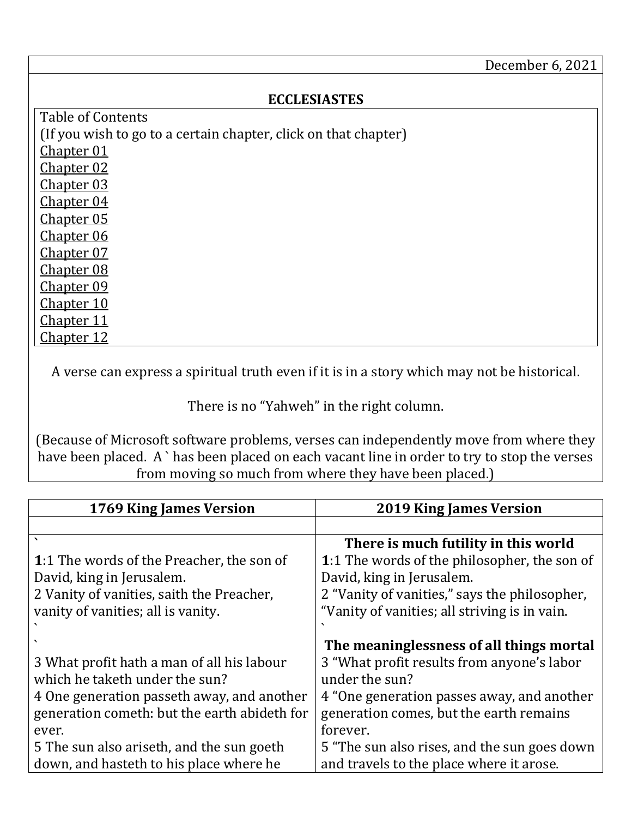## **ECCLESIASTES**

<span id="page-0-6"></span><span id="page-0-5"></span><span id="page-0-4"></span><span id="page-0-3"></span><span id="page-0-2"></span><span id="page-0-1"></span>Table of Contents (If you wish to go to a certain chapter, click on that chapter) [Chapter 01](#page-0-0) [Chapter 02](#page-2-0) [Chapter 03](#page-4-0) [Chapter 04](#page-6-0) [Chapter 05](#page-8-0) [Chapter 06](#page-9-0) [Chapter 07](#page-10-0) [Chapter 08](#page-13-0) [Chapter 09](#page-15-0) [Chapter 10](#page-16-0) [Chapter 11](#page-18-0) [Chapter 12](#page-19-0)

<span id="page-0-12"></span><span id="page-0-11"></span><span id="page-0-10"></span><span id="page-0-9"></span><span id="page-0-8"></span><span id="page-0-7"></span>A verse can express a spiritual truth even if it is in a story which may not be historical.

There is no "Yahweh" in the right column.

(Because of Microsoft software problems, verses can independently move from where they have been placed. A `has been placed on each vacant line in order to try to stop the verses from moving so much from where they have been placed.)

<span id="page-0-0"></span>

| 1769 King James Version                      | <b>2019 King James Version</b>                |
|----------------------------------------------|-----------------------------------------------|
|                                              |                                               |
|                                              | There is much futility in this world          |
| 1:1 The words of the Preacher, the son of    | 1:1 The words of the philosopher, the son of  |
| David, king in Jerusalem.                    | David, king in Jerusalem.                     |
| 2 Vanity of vanities, saith the Preacher,    | 2 "Vanity of vanities," says the philosopher, |
| vanity of vanities; all is vanity.           | "Vanity of vanities; all striving is in vain. |
|                                              |                                               |
|                                              | The meaninglessness of all things mortal      |
| 3 What profit hath a man of all his labour   | 3 "What profit results from anyone's labor    |
| which he taketh under the sun?               | under the sun?                                |
| 4 One generation passeth away, and another   | 4 "One generation passes away, and another    |
| generation cometh: but the earth abideth for | generation comes, but the earth remains       |
| ever.                                        | forever.                                      |
| 5 The sun also ariseth, and the sun goeth    | 5 "The sun also rises, and the sun goes down  |
| down, and hasteth to his place where he      | and travels to the place where it arose.      |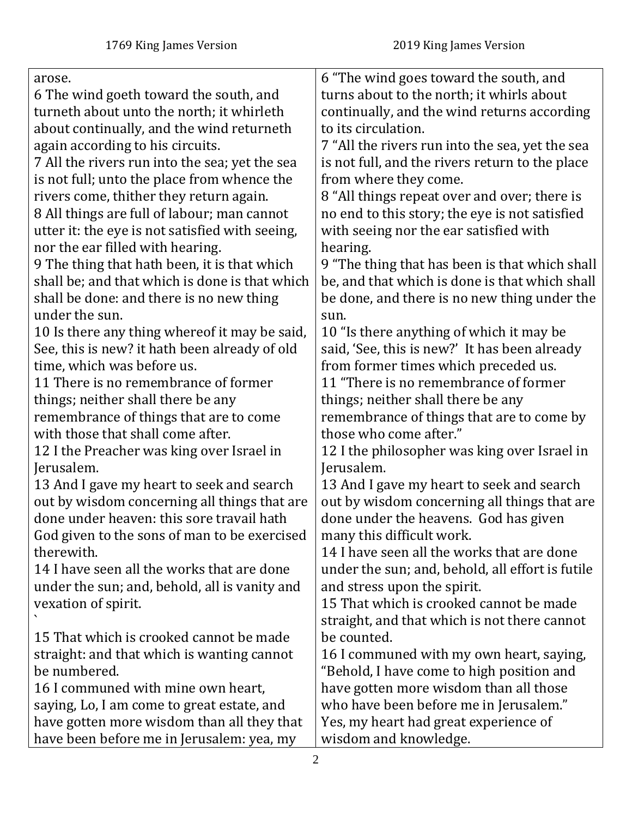| arose.                                          | 6 "The wind goes toward the south, and           |
|-------------------------------------------------|--------------------------------------------------|
| 6 The wind goeth toward the south, and          | turns about to the north; it whirls about        |
| turneth about unto the north; it whirleth       | continually, and the wind returns according      |
| about continually, and the wind returneth       | to its circulation.                              |
| again according to his circuits.                | 7 "All the rivers run into the sea, yet the sea  |
| 7 All the rivers run into the sea; yet the sea  | is not full, and the rivers return to the place  |
| is not full; unto the place from whence the     | from where they come.                            |
| rivers come, thither they return again.         | 8 "All things repeat over and over; there is     |
| 8 All things are full of labour; man cannot     | no end to this story; the eye is not satisfied   |
| utter it: the eye is not satisfied with seeing, | with seeing nor the ear satisfied with           |
| nor the ear filled with hearing.                | hearing.                                         |
| 9 The thing that hath been, it is that which    | 9 "The thing that has been is that which shall   |
| shall be; and that which is done is that which  | be, and that which is done is that which shall   |
| shall be done: and there is no new thing        | be done, and there is no new thing under the     |
| under the sun.                                  | sun.                                             |
| 10 Is there any thing where of it may be said,  | 10 "Is there anything of which it may be         |
| See, this is new? it hath been already of old   | said, 'See, this is new?' It has been already    |
| time, which was before us.                      | from former times which preceded us.             |
| 11 There is no remembrance of former            | 11 "There is no remembrance of former            |
| things; neither shall there be any              | things; neither shall there be any               |
| remembrance of things that are to come          | remembrance of things that are to come by        |
| with those that shall come after.               | those who come after."                           |
| 12 I the Preacher was king over Israel in       | 12 I the philosopher was king over Israel in     |
| Jerusalem.                                      | Jerusalem.                                       |
| 13 And I gave my heart to seek and search       | 13 And I gave my heart to seek and search        |
| out by wisdom concerning all things that are    | out by wisdom concerning all things that are     |
| done under heaven: this sore travail hath       | done under the heavens. God has given            |
| God given to the sons of man to be exercised    | many this difficult work.                        |
| therewith.                                      | 14 I have seen all the works that are done       |
| 14 I have seen all the works that are done      | under the sun; and, behold, all effort is futile |
| under the sun; and, behold, all is vanity and   | and stress upon the spirit.                      |
| vexation of spirit.                             | 15 That which is crooked cannot be made          |
|                                                 | straight, and that which is not there cannot     |
| 15 That which is crooked cannot be made         | be counted.                                      |
| straight: and that which is wanting cannot      | 16 I communed with my own heart, saying,         |
| be numbered.                                    | "Behold, I have come to high position and        |
| 16 I communed with mine own heart,              | have gotten more wisdom than all those           |
| saying, Lo, I am come to great estate, and      | who have been before me in Jerusalem."           |
| have gotten more wisdom than all they that      | Yes, my heart had great experience of            |
| have been before me in Jerusalem: yea, my       | wisdom and knowledge.                            |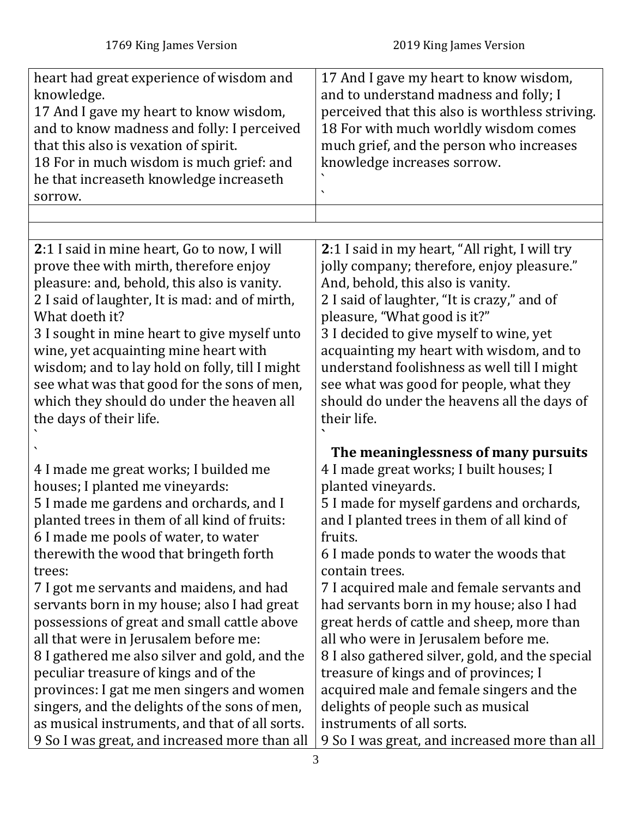<span id="page-2-0"></span>

| heart had great experience of wisdom and<br>knowledge.<br>17 And I gave my heart to know wisdom,<br>and to know madness and folly: I perceived<br>that this also is vexation of spirit.<br>18 For in much wisdom is much grief: and<br>he that increaseth knowledge increaseth<br>sorrow.                                                                                                                                                                                                                                                                                                                                                                                                    | 17 And I gave my heart to know wisdom,<br>and to understand madness and folly; I<br>perceived that this also is worthless striving.<br>18 For with much worldly wisdom comes<br>much grief, and the person who increases<br>knowledge increases sorrow.                                                                                                                                                                                                                                                                                                                                                                                                            |
|----------------------------------------------------------------------------------------------------------------------------------------------------------------------------------------------------------------------------------------------------------------------------------------------------------------------------------------------------------------------------------------------------------------------------------------------------------------------------------------------------------------------------------------------------------------------------------------------------------------------------------------------------------------------------------------------|--------------------------------------------------------------------------------------------------------------------------------------------------------------------------------------------------------------------------------------------------------------------------------------------------------------------------------------------------------------------------------------------------------------------------------------------------------------------------------------------------------------------------------------------------------------------------------------------------------------------------------------------------------------------|
|                                                                                                                                                                                                                                                                                                                                                                                                                                                                                                                                                                                                                                                                                              |                                                                                                                                                                                                                                                                                                                                                                                                                                                                                                                                                                                                                                                                    |
| 2:1 I said in mine heart, Go to now, I will<br>prove thee with mirth, therefore enjoy<br>pleasure: and, behold, this also is vanity.<br>2 I said of laughter, It is mad: and of mirth,<br>What doeth it?<br>3 I sought in mine heart to give myself unto<br>wine, yet acquainting mine heart with<br>wisdom; and to lay hold on folly, till I might<br>see what was that good for the sons of men,<br>which they should do under the heaven all<br>the days of their life.                                                                                                                                                                                                                   | 2:1 I said in my heart, "All right, I will try<br>jolly company; therefore, enjoy pleasure."<br>And, behold, this also is vanity.<br>2 I said of laughter, "It is crazy," and of<br>pleasure, "What good is it?"<br>3 I decided to give myself to wine, yet<br>acquainting my heart with wisdom, and to<br>understand foolishness as well till I might<br>see what was good for people, what they<br>should do under the heavens all the days of<br>their life.                                                                                                                                                                                                    |
| 4 I made me great works; I builded me<br>houses; I planted me vineyards:<br>5 I made me gardens and orchards, and I<br>planted trees in them of all kind of fruits:<br>6 I made me pools of water, to water<br>therewith the wood that bringeth forth<br>trees:<br>7 I got me servants and maidens, and had<br>servants born in my house; also I had great<br>possessions of great and small cattle above<br>all that were in Jerusalem before me:<br>8 I gathered me also silver and gold, and the<br>peculiar treasure of kings and of the<br>provinces: I gat me men singers and women<br>singers, and the delights of the sons of men,<br>as musical instruments, and that of all sorts. | The meaninglessness of many pursuits<br>4 I made great works; I built houses; I<br>planted vineyards.<br>5 I made for myself gardens and orchards,<br>and I planted trees in them of all kind of<br>fruits.<br>6 I made ponds to water the woods that<br>contain trees.<br>7 I acquired male and female servants and<br>had servants born in my house; also I had<br>great herds of cattle and sheep, more than<br>all who were in Jerusalem before me.<br>8 I also gathered silver, gold, and the special<br>treasure of kings and of provinces; I<br>acquired male and female singers and the<br>delights of people such as musical<br>instruments of all sorts. |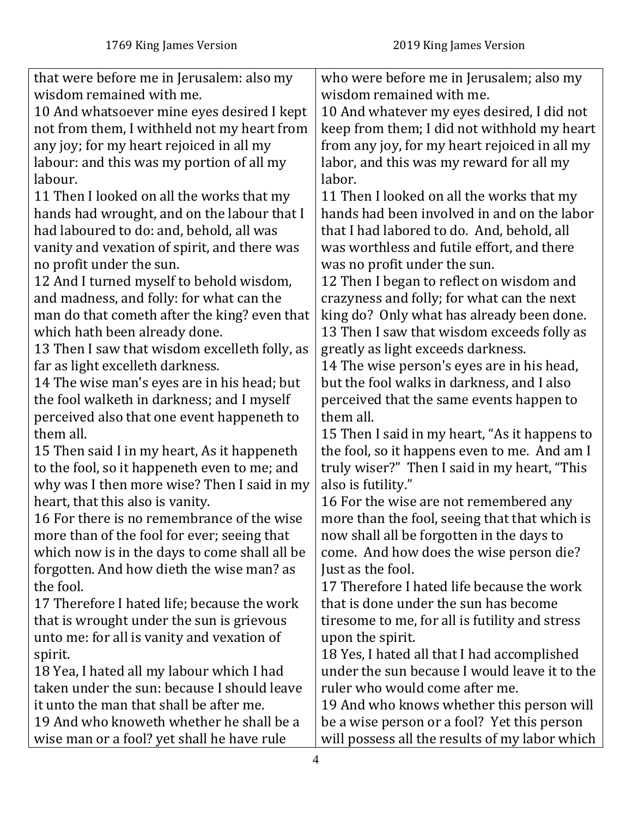| that were before me in Jerusalem: also my     | who were before me in Jerusalem; also my       |
|-----------------------------------------------|------------------------------------------------|
| wisdom remained with me.                      | wisdom remained with me.                       |
| 10 And whatsoever mine eyes desired I kept    | 10 And whatever my eyes desired, I did not     |
| not from them, I withheld not my heart from   | keep from them; I did not withhold my heart    |
| any joy; for my heart rejoiced in all my      | from any joy, for my heart rejoiced in all my  |
| labour: and this was my portion of all my     | labor, and this was my reward for all my       |
| labour.                                       | labor.                                         |
| 11 Then I looked on all the works that my     | 11 Then I looked on all the works that my      |
| hands had wrought, and on the labour that I   | hands had been involved in and on the labor    |
| had laboured to do: and, behold, all was      | that I had labored to do. And, behold, all     |
| vanity and vexation of spirit, and there was  | was worthless and futile effort, and there     |
| no profit under the sun.                      | was no profit under the sun.                   |
| 12 And I turned myself to behold wisdom,      | 12 Then I began to reflect on wisdom and       |
| and madness, and folly: for what can the      | crazyness and folly; for what can the next     |
| man do that cometh after the king? even that  | king do? Only what has already been done.      |
| which hath been already done.                 | 13 Then I saw that wisdom exceeds folly as     |
| 13 Then I saw that wisdom excelleth folly, as | greatly as light exceeds darkness.             |
| far as light excelleth darkness.              | 14 The wise person's eyes are in his head,     |
| 14 The wise man's eyes are in his head; but   | but the fool walks in darkness, and I also     |
| the fool walketh in darkness; and I myself    | perceived that the same events happen to       |
| perceived also that one event happeneth to    | them all.                                      |
| them all.                                     | 15 Then I said in my heart, "As it happens to  |
| 15 Then said I in my heart, As it happeneth   | the fool, so it happens even to me. And am I   |
| to the fool, so it happeneth even to me; and  | truly wiser?" Then I said in my heart, "This   |
| why was I then more wise? Then I said in my   | also is futility."                             |
| heart, that this also is vanity.              | 16 For the wise are not remembered any         |
| 16 For there is no remembrance of the wise    | more than the fool, seeing that that which is  |
| more than of the fool for ever; seeing that   | now shall all be forgotten in the days to      |
| which now is in the days to come shall all be | come. And how does the wise person die?        |
| forgotten. And how dieth the wise man? as     | Just as the fool.                              |
| the fool.                                     | 17 Therefore I hated life because the work     |
| 17 Therefore I hated life; because the work   | that is done under the sun has become          |
| that is wrought under the sun is grievous     | tiresome to me, for all is futility and stress |
| unto me: for all is vanity and vexation of    | upon the spirit.                               |
| spirit.                                       | 18 Yes, I hated all that I had accomplished    |
| 18 Yea, I hated all my labour which I had     | under the sun because I would leave it to the  |
| taken under the sun: because I should leave   | ruler who would come after me.                 |
| it unto the man that shall be after me.       | 19 And who knows whether this person will      |
| 19 And who knoweth whether he shall be a      | be a wise person or a fool? Yet this person    |
| wise man or a fool? yet shall he have rule    | will possess all the results of my labor which |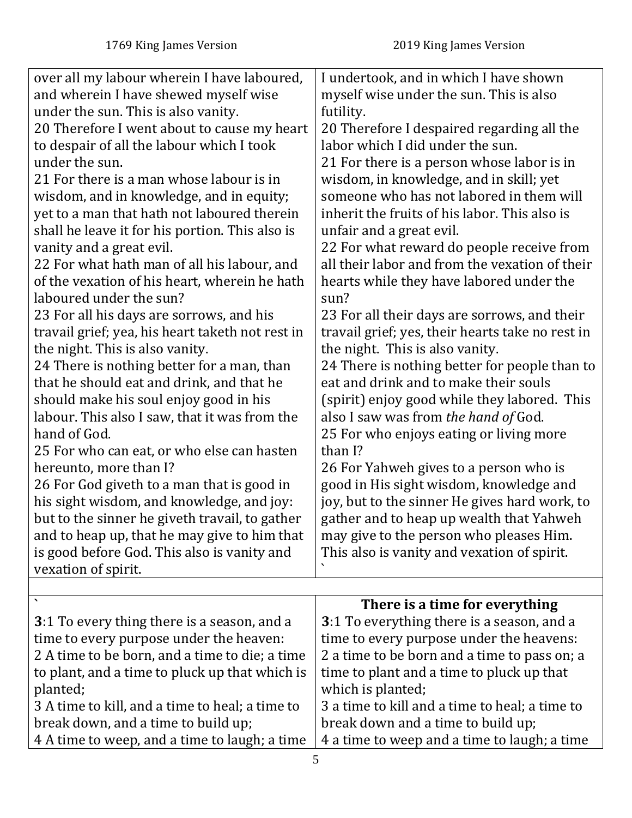| over all my labour wherein I have laboured,<br>and wherein I have shewed myself wise<br>under the sun. This is also vanity.<br>20 Therefore I went about to cause my heart<br>to despair of all the labour which I took<br>under the sun.<br>21 For there is a man whose labour is in<br>wisdom, and in knowledge, and in equity;<br>yet to a man that hath not laboured therein<br>shall he leave it for his portion. This also is<br>vanity and a great evil.<br>22 For what hath man of all his labour, and<br>of the vexation of his heart, wherein he hath<br>laboured under the sun?<br>23 For all his days are sorrows, and his<br>travail grief; yea, his heart taketh not rest in<br>the night. This is also vanity.<br>24 There is nothing better for a man, than<br>that he should eat and drink, and that he<br>should make his soul enjoy good in his<br>labour. This also I saw, that it was from the<br>hand of God.<br>25 For who can eat, or who else can hasten<br>hereunto, more than I? | I undertook, and in which I have shown<br>myself wise under the sun. This is also<br>futility.<br>20 Therefore I despaired regarding all the<br>labor which I did under the sun.<br>21 For there is a person whose labor is in<br>wisdom, in knowledge, and in skill; yet<br>someone who has not labored in them will<br>inherit the fruits of his labor. This also is<br>unfair and a great evil.<br>22 For what reward do people receive from<br>all their labor and from the vexation of their<br>hearts while they have labored under the<br>sun?<br>23 For all their days are sorrows, and their<br>travail grief; yes, their hearts take no rest in<br>the night. This is also vanity.<br>24 There is nothing better for people than to<br>eat and drink and to make their souls<br>(spirit) enjoy good while they labored. This<br>also I saw was from the hand of God.<br>25 For who enjoys eating or living more<br>than I?<br>26 For Yahweh gives to a person who is |
|-------------------------------------------------------------------------------------------------------------------------------------------------------------------------------------------------------------------------------------------------------------------------------------------------------------------------------------------------------------------------------------------------------------------------------------------------------------------------------------------------------------------------------------------------------------------------------------------------------------------------------------------------------------------------------------------------------------------------------------------------------------------------------------------------------------------------------------------------------------------------------------------------------------------------------------------------------------------------------------------------------------|--------------------------------------------------------------------------------------------------------------------------------------------------------------------------------------------------------------------------------------------------------------------------------------------------------------------------------------------------------------------------------------------------------------------------------------------------------------------------------------------------------------------------------------------------------------------------------------------------------------------------------------------------------------------------------------------------------------------------------------------------------------------------------------------------------------------------------------------------------------------------------------------------------------------------------------------------------------------------------|
|                                                                                                                                                                                                                                                                                                                                                                                                                                                                                                                                                                                                                                                                                                                                                                                                                                                                                                                                                                                                             |                                                                                                                                                                                                                                                                                                                                                                                                                                                                                                                                                                                                                                                                                                                                                                                                                                                                                                                                                                                |
|                                                                                                                                                                                                                                                                                                                                                                                                                                                                                                                                                                                                                                                                                                                                                                                                                                                                                                                                                                                                             |                                                                                                                                                                                                                                                                                                                                                                                                                                                                                                                                                                                                                                                                                                                                                                                                                                                                                                                                                                                |
|                                                                                                                                                                                                                                                                                                                                                                                                                                                                                                                                                                                                                                                                                                                                                                                                                                                                                                                                                                                                             |                                                                                                                                                                                                                                                                                                                                                                                                                                                                                                                                                                                                                                                                                                                                                                                                                                                                                                                                                                                |
|                                                                                                                                                                                                                                                                                                                                                                                                                                                                                                                                                                                                                                                                                                                                                                                                                                                                                                                                                                                                             |                                                                                                                                                                                                                                                                                                                                                                                                                                                                                                                                                                                                                                                                                                                                                                                                                                                                                                                                                                                |
|                                                                                                                                                                                                                                                                                                                                                                                                                                                                                                                                                                                                                                                                                                                                                                                                                                                                                                                                                                                                             |                                                                                                                                                                                                                                                                                                                                                                                                                                                                                                                                                                                                                                                                                                                                                                                                                                                                                                                                                                                |
| 26 For God giveth to a man that is good in                                                                                                                                                                                                                                                                                                                                                                                                                                                                                                                                                                                                                                                                                                                                                                                                                                                                                                                                                                  | good in His sight wisdom, knowledge and                                                                                                                                                                                                                                                                                                                                                                                                                                                                                                                                                                                                                                                                                                                                                                                                                                                                                                                                        |
| his sight wisdom, and knowledge, and joy:                                                                                                                                                                                                                                                                                                                                                                                                                                                                                                                                                                                                                                                                                                                                                                                                                                                                                                                                                                   | joy, but to the sinner He gives hard work, to                                                                                                                                                                                                                                                                                                                                                                                                                                                                                                                                                                                                                                                                                                                                                                                                                                                                                                                                  |
| but to the sinner he giveth travail, to gather                                                                                                                                                                                                                                                                                                                                                                                                                                                                                                                                                                                                                                                                                                                                                                                                                                                                                                                                                              | gather and to heap up wealth that Yahweh                                                                                                                                                                                                                                                                                                                                                                                                                                                                                                                                                                                                                                                                                                                                                                                                                                                                                                                                       |
| and to heap up, that he may give to him that                                                                                                                                                                                                                                                                                                                                                                                                                                                                                                                                                                                                                                                                                                                                                                                                                                                                                                                                                                | may give to the person who pleases Him.                                                                                                                                                                                                                                                                                                                                                                                                                                                                                                                                                                                                                                                                                                                                                                                                                                                                                                                                        |
| is good before God. This also is vanity and                                                                                                                                                                                                                                                                                                                                                                                                                                                                                                                                                                                                                                                                                                                                                                                                                                                                                                                                                                 | This also is vanity and vexation of spirit.                                                                                                                                                                                                                                                                                                                                                                                                                                                                                                                                                                                                                                                                                                                                                                                                                                                                                                                                    |
| vexation of spirit.                                                                                                                                                                                                                                                                                                                                                                                                                                                                                                                                                                                                                                                                                                                                                                                                                                                                                                                                                                                         |                                                                                                                                                                                                                                                                                                                                                                                                                                                                                                                                                                                                                                                                                                                                                                                                                                                                                                                                                                                |
|                                                                                                                                                                                                                                                                                                                                                                                                                                                                                                                                                                                                                                                                                                                                                                                                                                                                                                                                                                                                             |                                                                                                                                                                                                                                                                                                                                                                                                                                                                                                                                                                                                                                                                                                                                                                                                                                                                                                                                                                                |
|                                                                                                                                                                                                                                                                                                                                                                                                                                                                                                                                                                                                                                                                                                                                                                                                                                                                                                                                                                                                             | There is a time for everything<br>3:1 To everything there is a season, and a                                                                                                                                                                                                                                                                                                                                                                                                                                                                                                                                                                                                                                                                                                                                                                                                                                                                                                   |
| <b>3</b> :1 To every thing there is a season, and a<br>time to every purpose under the heaven:                                                                                                                                                                                                                                                                                                                                                                                                                                                                                                                                                                                                                                                                                                                                                                                                                                                                                                              | time to every purpose under the heavens:                                                                                                                                                                                                                                                                                                                                                                                                                                                                                                                                                                                                                                                                                                                                                                                                                                                                                                                                       |
| 2 A time to be born, and a time to die; a time                                                                                                                                                                                                                                                                                                                                                                                                                                                                                                                                                                                                                                                                                                                                                                                                                                                                                                                                                              | 2 a time to be born and a time to pass on; a                                                                                                                                                                                                                                                                                                                                                                                                                                                                                                                                                                                                                                                                                                                                                                                                                                                                                                                                   |
|                                                                                                                                                                                                                                                                                                                                                                                                                                                                                                                                                                                                                                                                                                                                                                                                                                                                                                                                                                                                             |                                                                                                                                                                                                                                                                                                                                                                                                                                                                                                                                                                                                                                                                                                                                                                                                                                                                                                                                                                                |

<span id="page-4-0"></span>to plant, and a time to pluck up that which is planted; 3 A time to kill, and a time to heal; a time to break down, and a time to build up; time to plant and a time to pluck up that which is planted; 3 a time to kill and a time to heal; a time to break down and a time to build up; 4 a time to weep and a time to laugh; a time

4 A time to weep, and a time to laugh; a time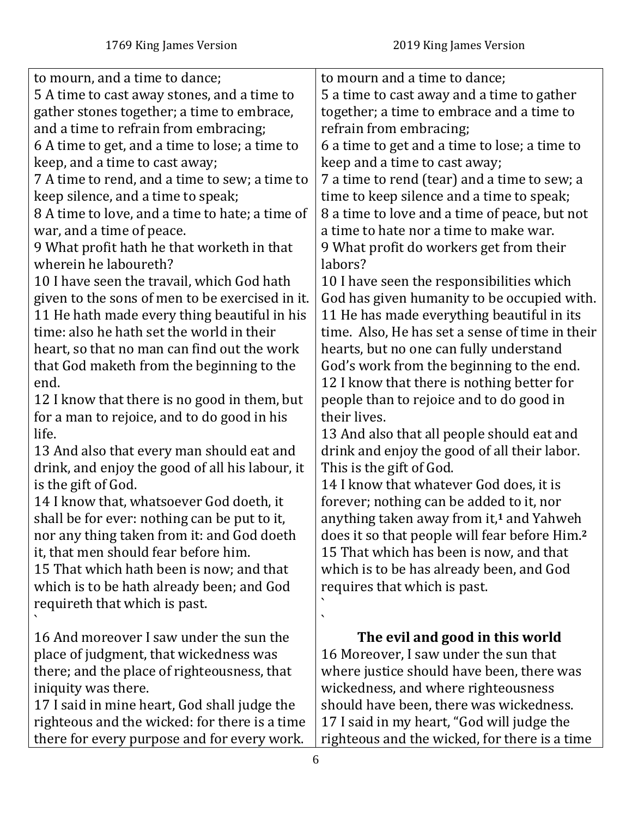| to mourn, and a time to dance;                  | to mourn and a time to dance;                             |
|-------------------------------------------------|-----------------------------------------------------------|
| 5 A time to cast away stones, and a time to     | 5 a time to cast away and a time to gather                |
| gather stones together; a time to embrace,      | together; a time to embrace and a time to                 |
| and a time to refrain from embracing;           | refrain from embracing;                                   |
| 6 A time to get, and a time to lose; a time to  | 6 a time to get and a time to lose; a time to             |
| keep, and a time to cast away;                  | keep and a time to cast away;                             |
| 7 A time to rend, and a time to sew; a time to  | 7 a time to rend (tear) and a time to sew; a              |
| keep silence, and a time to speak;              | time to keep silence and a time to speak;                 |
| 8 A time to love, and a time to hate; a time of | 8 a time to love and a time of peace, but not             |
| war, and a time of peace.                       | a time to hate nor a time to make war.                    |
| 9 What profit hath he that worketh in that      | 9 What profit do workers get from their                   |
| wherein he laboureth?                           | labors?                                                   |
| 10 I have seen the travail, which God hath      | 10 I have seen the responsibilities which                 |
| given to the sons of men to be exercised in it. | God has given humanity to be occupied with.               |
| 11 He hath made every thing beautiful in his    | 11 He has made everything beautiful in its                |
| time: also he hath set the world in their       | time. Also, He has set a sense of time in their           |
| heart, so that no man can find out the work     | hearts, but no one can fully understand                   |
| that God maketh from the beginning to the       | God's work from the beginning to the end.                 |
| end.                                            | 12 I know that there is nothing better for                |
| 12 I know that there is no good in them, but    | people than to rejoice and to do good in                  |
| for a man to rejoice, and to do good in his     | their lives.                                              |
| life.                                           | 13 And also that all people should eat and                |
| 13 And also that every man should eat and       | drink and enjoy the good of all their labor.              |
| drink, and enjoy the good of all his labour, it | This is the gift of God.                                  |
| is the gift of God.                             | 14 I know that whatever God does, it is                   |
| 14 I know that, whatsoever God doeth, it        | forever; nothing can be added to it, nor                  |
| shall be for ever: nothing can be put to it,    | anything taken away from it, <sup>1</sup> and Yahweh      |
| nor any thing taken from it: and God doeth      | does it so that people will fear before Him. <sup>2</sup> |
| it, that men should fear before him.            | 15 That which has been is now, and that                   |
| 15 That which hath been is now; and that        | which is to be has already been, and God                  |
| which is to be hath already been; and God       | requires that which is past.                              |
| requireth that which is past.                   |                                                           |
|                                                 | ↖                                                         |
| 16 And moreover I saw under the sun the         | The evil and good in this world                           |
| place of judgment, that wickedness was          | 16 Moreover, I saw under the sun that                     |
| there; and the place of righteousness, that     | where justice should have been, there was                 |
| iniquity was there.                             | wickedness, and where righteousness                       |
| 17 I said in mine heart, God shall judge the    | should have been, there was wickedness.                   |
| righteous and the wicked: for there is a time   | 17 I said in my heart, "God will judge the                |
| there for every purpose and for every work.     | righteous and the wicked, for there is a time             |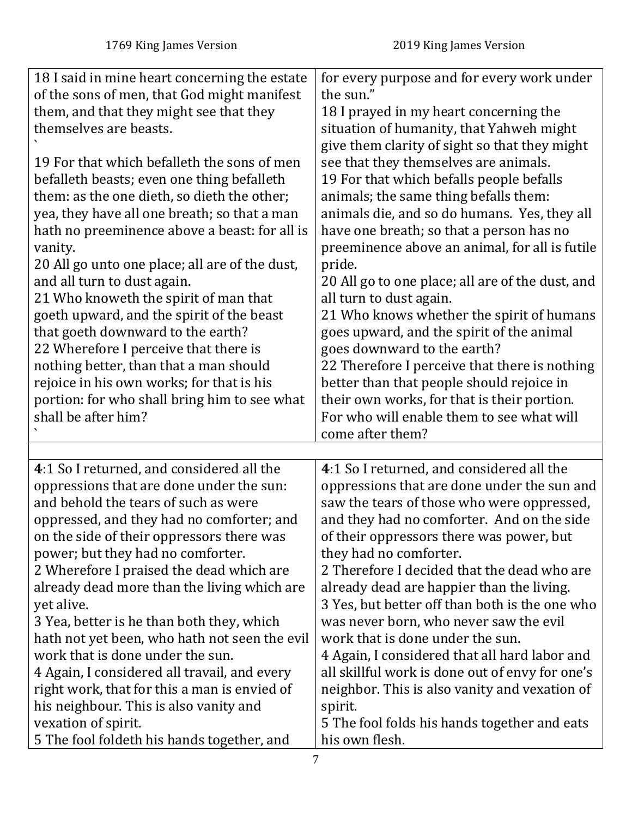<span id="page-6-0"></span>

| 18 I said in mine heart concerning the estate<br>of the sons of men, that God might manifest<br>them, and that they might see that they<br>themselves are beasts.<br>19 For that which befalleth the sons of men<br>befalleth beasts; even one thing befalleth<br>them: as the one dieth, so dieth the other;<br>yea, they have all one breath; so that a man<br>hath no preeminence above a beast: for all is<br>vanity.<br>20 All go unto one place; all are of the dust,<br>and all turn to dust again.<br>21 Who knoweth the spirit of man that<br>goeth upward, and the spirit of the beast<br>that goeth downward to the earth?<br>22 Wherefore I perceive that there is<br>nothing better, than that a man should<br>rejoice in his own works; for that is his<br>portion: for who shall bring him to see what<br>shall be after him? | for every purpose and for every work under<br>the sun."<br>18 I prayed in my heart concerning the<br>situation of humanity, that Yahweh might<br>give them clarity of sight so that they might<br>see that they themselves are animals.<br>19 For that which befalls people befalls<br>animals; the same thing befalls them:<br>animals die, and so do humans. Yes, they all<br>have one breath; so that a person has no<br>preeminence above an animal, for all is futile<br>pride.<br>20 All go to one place; all are of the dust, and<br>all turn to dust again.<br>21 Who knows whether the spirit of humans<br>goes upward, and the spirit of the animal<br>goes downward to the earth?<br>22 Therefore I perceive that there is nothing<br>better than that people should rejoice in<br>their own works, for that is their portion.<br>For who will enable them to see what will<br>come after them? |
|----------------------------------------------------------------------------------------------------------------------------------------------------------------------------------------------------------------------------------------------------------------------------------------------------------------------------------------------------------------------------------------------------------------------------------------------------------------------------------------------------------------------------------------------------------------------------------------------------------------------------------------------------------------------------------------------------------------------------------------------------------------------------------------------------------------------------------------------|------------------------------------------------------------------------------------------------------------------------------------------------------------------------------------------------------------------------------------------------------------------------------------------------------------------------------------------------------------------------------------------------------------------------------------------------------------------------------------------------------------------------------------------------------------------------------------------------------------------------------------------------------------------------------------------------------------------------------------------------------------------------------------------------------------------------------------------------------------------------------------------------------------|
| 4:1 So I returned, and considered all the                                                                                                                                                                                                                                                                                                                                                                                                                                                                                                                                                                                                                                                                                                                                                                                                    | 4:1 So I returned, and considered all the                                                                                                                                                                                                                                                                                                                                                                                                                                                                                                                                                                                                                                                                                                                                                                                                                                                                  |
| oppressions that are done under the sun:                                                                                                                                                                                                                                                                                                                                                                                                                                                                                                                                                                                                                                                                                                                                                                                                     | oppressions that are done under the sun and                                                                                                                                                                                                                                                                                                                                                                                                                                                                                                                                                                                                                                                                                                                                                                                                                                                                |
| and behold the tears of such as were                                                                                                                                                                                                                                                                                                                                                                                                                                                                                                                                                                                                                                                                                                                                                                                                         | saw the tears of those who were oppressed,                                                                                                                                                                                                                                                                                                                                                                                                                                                                                                                                                                                                                                                                                                                                                                                                                                                                 |
| oppressed, and they had no comforter; and                                                                                                                                                                                                                                                                                                                                                                                                                                                                                                                                                                                                                                                                                                                                                                                                    | and they had no comforter. And on the side                                                                                                                                                                                                                                                                                                                                                                                                                                                                                                                                                                                                                                                                                                                                                                                                                                                                 |
| on the side of their oppressors there was                                                                                                                                                                                                                                                                                                                                                                                                                                                                                                                                                                                                                                                                                                                                                                                                    | of their oppressors there was power, but                                                                                                                                                                                                                                                                                                                                                                                                                                                                                                                                                                                                                                                                                                                                                                                                                                                                   |
| power; but they had no comforter.                                                                                                                                                                                                                                                                                                                                                                                                                                                                                                                                                                                                                                                                                                                                                                                                            | they had no comforter.                                                                                                                                                                                                                                                                                                                                                                                                                                                                                                                                                                                                                                                                                                                                                                                                                                                                                     |
| 2 Wherefore I praised the dead which are                                                                                                                                                                                                                                                                                                                                                                                                                                                                                                                                                                                                                                                                                                                                                                                                     | 2 Therefore I decided that the dead who are                                                                                                                                                                                                                                                                                                                                                                                                                                                                                                                                                                                                                                                                                                                                                                                                                                                                |
| already dead more than the living which are                                                                                                                                                                                                                                                                                                                                                                                                                                                                                                                                                                                                                                                                                                                                                                                                  | already dead are happier than the living.                                                                                                                                                                                                                                                                                                                                                                                                                                                                                                                                                                                                                                                                                                                                                                                                                                                                  |
| yet alive.                                                                                                                                                                                                                                                                                                                                                                                                                                                                                                                                                                                                                                                                                                                                                                                                                                   | 3 Yes, but better off than both is the one who                                                                                                                                                                                                                                                                                                                                                                                                                                                                                                                                                                                                                                                                                                                                                                                                                                                             |
| 3 Yea, better is he than both they, which                                                                                                                                                                                                                                                                                                                                                                                                                                                                                                                                                                                                                                                                                                                                                                                                    | was never born, who never saw the evil                                                                                                                                                                                                                                                                                                                                                                                                                                                                                                                                                                                                                                                                                                                                                                                                                                                                     |
| hath not yet been, who hath not seen the evil                                                                                                                                                                                                                                                                                                                                                                                                                                                                                                                                                                                                                                                                                                                                                                                                | work that is done under the sun.                                                                                                                                                                                                                                                                                                                                                                                                                                                                                                                                                                                                                                                                                                                                                                                                                                                                           |
| work that is done under the sun.                                                                                                                                                                                                                                                                                                                                                                                                                                                                                                                                                                                                                                                                                                                                                                                                             | 4 Again, I considered that all hard labor and                                                                                                                                                                                                                                                                                                                                                                                                                                                                                                                                                                                                                                                                                                                                                                                                                                                              |
| 4 Again, I considered all travail, and every                                                                                                                                                                                                                                                                                                                                                                                                                                                                                                                                                                                                                                                                                                                                                                                                 | all skillful work is done out of envy for one's                                                                                                                                                                                                                                                                                                                                                                                                                                                                                                                                                                                                                                                                                                                                                                                                                                                            |
| right work, that for this a man is envied of                                                                                                                                                                                                                                                                                                                                                                                                                                                                                                                                                                                                                                                                                                                                                                                                 | neighbor. This is also vanity and vexation of                                                                                                                                                                                                                                                                                                                                                                                                                                                                                                                                                                                                                                                                                                                                                                                                                                                              |
| his neighbour. This is also vanity and                                                                                                                                                                                                                                                                                                                                                                                                                                                                                                                                                                                                                                                                                                                                                                                                       | spirit.                                                                                                                                                                                                                                                                                                                                                                                                                                                                                                                                                                                                                                                                                                                                                                                                                                                                                                    |
| vexation of spirit.                                                                                                                                                                                                                                                                                                                                                                                                                                                                                                                                                                                                                                                                                                                                                                                                                          | 5 The fool folds his hands together and eats                                                                                                                                                                                                                                                                                                                                                                                                                                                                                                                                                                                                                                                                                                                                                                                                                                                               |
| 5 The fool foldeth his hands together, and                                                                                                                                                                                                                                                                                                                                                                                                                                                                                                                                                                                                                                                                                                                                                                                                   | his own flesh.                                                                                                                                                                                                                                                                                                                                                                                                                                                                                                                                                                                                                                                                                                                                                                                                                                                                                             |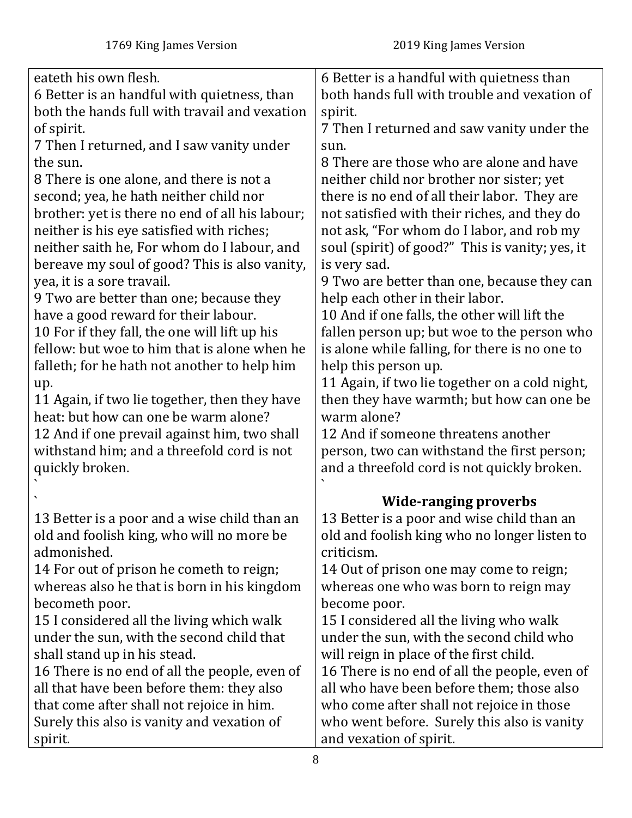| eateth his own flesh.                                                                        | 6 Better is a handful with quietness than                                       |
|----------------------------------------------------------------------------------------------|---------------------------------------------------------------------------------|
| 6 Better is an handful with quietness, than<br>both the hands full with travail and vexation | both hands full with trouble and vexation of<br>spirit.                         |
| of spirit.                                                                                   | 7 Then I returned and saw vanity under the                                      |
| 7 Then I returned, and I saw vanity under                                                    | sun.                                                                            |
| the sun.                                                                                     | 8 There are those who are alone and have                                        |
| 8 There is one alone, and there is not a                                                     | neither child nor brother nor sister; yet                                       |
| second; yea, he hath neither child nor                                                       | there is no end of all their labor. They are                                    |
| brother: yet is there no end of all his labour;                                              | not satisfied with their riches, and they do                                    |
| neither is his eye satisfied with riches;                                                    | not ask, "For whom do I labor, and rob my                                       |
| neither saith he, For whom do I labour, and                                                  | soul (spirit) of good?" This is vanity; yes, it                                 |
| bereave my soul of good? This is also vanity,                                                | is very sad.                                                                    |
| yea, it is a sore travail.                                                                   | 9 Two are better than one, because they can                                     |
| 9 Two are better than one; because they<br>have a good reward for their labour.              | help each other in their labor.<br>10 And if one falls, the other will lift the |
| 10 For if they fall, the one will lift up his                                                | fallen person up; but woe to the person who                                     |
| fellow: but woe to him that is alone when he                                                 | is alone while falling, for there is no one to                                  |
| falleth; for he hath not another to help him                                                 | help this person up.                                                            |
| up.                                                                                          | 11 Again, if two lie together on a cold night,                                  |
| 11 Again, if two lie together, then they have                                                | then they have warmth; but how can one be                                       |
| heat: but how can one be warm alone?                                                         | warm alone?                                                                     |
| 12 And if one prevail against him, two shall                                                 | 12 And if someone threatens another                                             |
| withstand him; and a threefold cord is not                                                   | person, two can withstand the first person;                                     |
| quickly broken.                                                                              | and a threefold cord is not quickly broken.                                     |
|                                                                                              |                                                                                 |
|                                                                                              | <b>Wide-ranging proverbs</b>                                                    |
| 13 Better is a poor and a wise child than an                                                 | 13 Better is a poor and wise child than an                                      |
| old and foolish king, who will no more be<br>admonished.                                     | old and foolish king who no longer listen to<br>criticism.                      |
| 14 For out of prison he cometh to reign;                                                     | 14 Out of prison one may come to reign;                                         |
| whereas also he that is born in his kingdom                                                  | whereas one who was born to reign may                                           |
| becometh poor.                                                                               | become poor.                                                                    |
| 15 I considered all the living which walk                                                    | 15 I considered all the living who walk                                         |
| under the sun, with the second child that                                                    | under the sun, with the second child who                                        |
| shall stand up in his stead.                                                                 | will reign in place of the first child.                                         |
| 16 There is no end of all the people, even of                                                | 16 There is no end of all the people, even of                                   |
| all that have been before them: they also                                                    | all who have been before them; those also                                       |
| that come after shall not rejoice in him.                                                    | who come after shall not rejoice in those                                       |
| Surely this also is vanity and vexation of                                                   | who went before. Surely this also is vanity                                     |
| spirit.                                                                                      | and vexation of spirit.                                                         |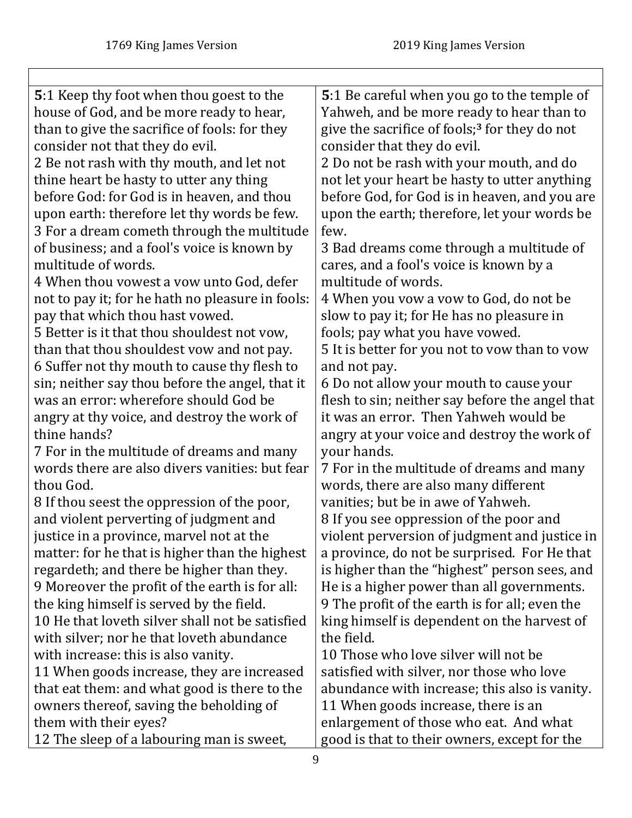<span id="page-8-0"></span>

| 5:1 Keep thy foot when thou goest to the         | 5:1 Be careful when you go to the temple of               |
|--------------------------------------------------|-----------------------------------------------------------|
| house of God, and be more ready to hear,         | Yahweh, and be more ready to hear than to                 |
| than to give the sacrifice of fools: for they    | give the sacrifice of fools; <sup>3</sup> for they do not |
| consider not that they do evil.                  | consider that they do evil.                               |
| 2 Be not rash with thy mouth, and let not        | 2 Do not be rash with your mouth, and do                  |
| thine heart be hasty to utter any thing          | not let your heart be hasty to utter anything             |
| before God: for God is in heaven, and thou       | before God, for God is in heaven, and you are             |
| upon earth: therefore let thy words be few.      | upon the earth; therefore, let your words be              |
| 3 For a dream cometh through the multitude       | few.                                                      |
| of business; and a fool's voice is known by      | 3 Bad dreams come through a multitude of                  |
| multitude of words.                              | cares, and a fool's voice is known by a                   |
| 4 When thou vowest a vow unto God, defer         | multitude of words.                                       |
| not to pay it; for he hath no pleasure in fools: | 4 When you yow a yow to God, do not be                    |
| pay that which thou hast vowed.                  | slow to pay it; for He has no pleasure in                 |
| 5 Better is it that thou shouldest not vow,      | fools; pay what you have vowed.                           |
| than that thou shouldest vow and not pay.        | 5 It is better for you not to yow than to yow             |
| 6 Suffer not thy mouth to cause thy flesh to     | and not pay.                                              |
| sin; neither say thou before the angel, that it  | 6 Do not allow your mouth to cause your                   |
| was an error: wherefore should God be            | flesh to sin; neither say before the angel that           |
| angry at thy voice, and destroy the work of      | it was an error. Then Yahweh would be                     |
| thine hands?                                     | angry at your voice and destroy the work of               |
| 7 For in the multitude of dreams and many        | your hands.                                               |
| words there are also divers vanities: but fear   | 7 For in the multitude of dreams and many                 |
| thou God.                                        | words, there are also many different                      |
| 8 If thou seest the oppression of the poor,      | vanities; but be in awe of Yahweh.                        |
| and violent perverting of judgment and           | 8 If you see oppression of the poor and                   |
| justice in a province, marvel not at the         | violent perversion of judgment and justice in             |
| matter: for he that is higher than the highest   | a province, do not be surprised. For He that              |
| regardeth; and there be higher than they.        | is higher than the "highest" person sees, and             |
| 9 Moreover the profit of the earth is for all:   | He is a higher power than all governments.                |
| the king himself is served by the field.         | 9 The profit of the earth is for all; even the            |
| 10 He that loveth silver shall not be satisfied  | king himself is dependent on the harvest of               |
| with silver; nor he that loveth abundance        | the field.                                                |
| with increase: this is also vanity.              | 10 Those who love silver will not be                      |
| 11 When goods increase, they are increased       | satisfied with silver, nor those who love                 |
| that eat them: and what good is there to the     | abundance with increase; this also is vanity.             |
| owners thereof, saving the beholding of          | 11 When goods increase, there is an                       |
| them with their eyes?                            | enlargement of those who eat. And what                    |
| 12 The sleep of a labouring man is sweet,        | good is that to their owners, except for the              |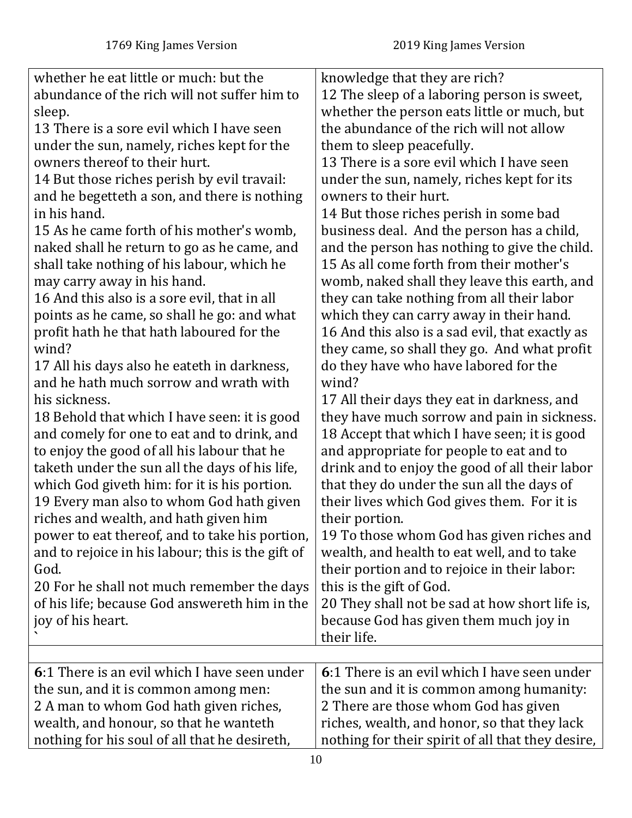<span id="page-9-0"></span>

| whether he eat little or much: but the<br>abundance of the rich will not suffer him to<br>sleep.<br>13 There is a sore evil which I have seen<br>under the sun, namely, riches kept for the<br>owners thereof to their hurt.<br>14 But those riches perish by evil travail:<br>and he begetteth a son, and there is nothing<br>in his hand.<br>15 As he came forth of his mother's womb,<br>naked shall he return to go as he came, and<br>shall take nothing of his labour, which he<br>may carry away in his hand.<br>16 And this also is a sore evil, that in all<br>points as he came, so shall he go: and what<br>profit hath he that hath laboured for the<br>wind?<br>17 All his days also he eateth in darkness,<br>and he hath much sorrow and wrath with<br>his sickness.<br>18 Behold that which I have seen: it is good<br>and comely for one to eat and to drink, and<br>to enjoy the good of all his labour that he<br>taketh under the sun all the days of his life,<br>which God giveth him: for it is his portion.<br>19 Every man also to whom God hath given<br>riches and wealth, and hath given him<br>power to eat thereof, and to take his portion,<br>and to rejoice in his labour; this is the gift of<br>God.<br>20 For he shall not much remember the days<br>of his life; because God answereth him in the<br>joy of his heart. | knowledge that they are rich?<br>12 The sleep of a laboring person is sweet,<br>whether the person eats little or much, but<br>the abundance of the rich will not allow<br>them to sleep peacefully.<br>13 There is a sore evil which I have seen<br>under the sun, namely, riches kept for its<br>owners to their hurt.<br>14 But those riches perish in some bad<br>business deal. And the person has a child,<br>and the person has nothing to give the child.<br>15 As all come forth from their mother's<br>womb, naked shall they leave this earth, and<br>they can take nothing from all their labor<br>which they can carry away in their hand.<br>16 And this also is a sad evil, that exactly as<br>they came, so shall they go. And what profit<br>do they have who have labored for the<br>wind?<br>17 All their days they eat in darkness, and<br>they have much sorrow and pain in sickness.<br>18 Accept that which I have seen; it is good<br>and appropriate for people to eat and to<br>drink and to enjoy the good of all their labor<br>that they do under the sun all the days of<br>their lives which God gives them. For it is<br>their portion.<br>19 To those whom God has given riches and<br>wealth, and health to eat well, and to take<br>their portion and to rejoice in their labor:<br>this is the gift of God.<br>20 They shall not be sad at how short life is,<br>because God has given them much joy in<br>their life. |
|-------------------------------------------------------------------------------------------------------------------------------------------------------------------------------------------------------------------------------------------------------------------------------------------------------------------------------------------------------------------------------------------------------------------------------------------------------------------------------------------------------------------------------------------------------------------------------------------------------------------------------------------------------------------------------------------------------------------------------------------------------------------------------------------------------------------------------------------------------------------------------------------------------------------------------------------------------------------------------------------------------------------------------------------------------------------------------------------------------------------------------------------------------------------------------------------------------------------------------------------------------------------------------------------------------------------------------------------------------------|------------------------------------------------------------------------------------------------------------------------------------------------------------------------------------------------------------------------------------------------------------------------------------------------------------------------------------------------------------------------------------------------------------------------------------------------------------------------------------------------------------------------------------------------------------------------------------------------------------------------------------------------------------------------------------------------------------------------------------------------------------------------------------------------------------------------------------------------------------------------------------------------------------------------------------------------------------------------------------------------------------------------------------------------------------------------------------------------------------------------------------------------------------------------------------------------------------------------------------------------------------------------------------------------------------------------------------------------------------------------------------------------------------------------------------------------------------|
|                                                                                                                                                                                                                                                                                                                                                                                                                                                                                                                                                                                                                                                                                                                                                                                                                                                                                                                                                                                                                                                                                                                                                                                                                                                                                                                                                             |                                                                                                                                                                                                                                                                                                                                                                                                                                                                                                                                                                                                                                                                                                                                                                                                                                                                                                                                                                                                                                                                                                                                                                                                                                                                                                                                                                                                                                                            |
| 6:1 There is an evil which I have seen under<br>the sun, and it is common among men:<br>2 A man to whom God hath given riches,<br>wealth, and honour, so that he wanteth<br>nothing for his soul of all that he desireth,                                                                                                                                                                                                                                                                                                                                                                                                                                                                                                                                                                                                                                                                                                                                                                                                                                                                                                                                                                                                                                                                                                                                   | 6:1 There is an evil which I have seen under<br>the sun and it is common among humanity:<br>2 There are those whom God has given<br>riches, wealth, and honor, so that they lack<br>nothing for their spirit of all that they desire,                                                                                                                                                                                                                                                                                                                                                                                                                                                                                                                                                                                                                                                                                                                                                                                                                                                                                                                                                                                                                                                                                                                                                                                                                      |
|                                                                                                                                                                                                                                                                                                                                                                                                                                                                                                                                                                                                                                                                                                                                                                                                                                                                                                                                                                                                                                                                                                                                                                                                                                                                                                                                                             |                                                                                                                                                                                                                                                                                                                                                                                                                                                                                                                                                                                                                                                                                                                                                                                                                                                                                                                                                                                                                                                                                                                                                                                                                                                                                                                                                                                                                                                            |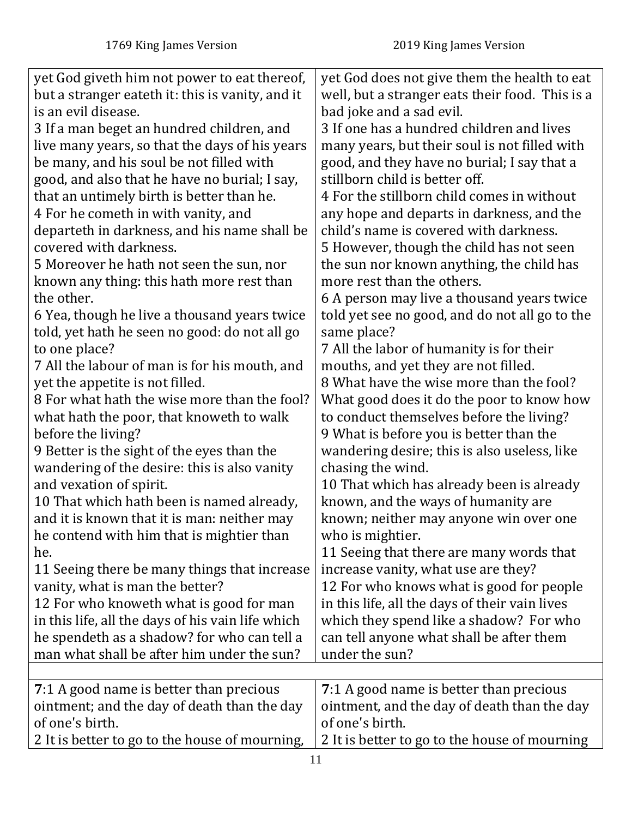<span id="page-10-0"></span>

| yet God giveth him not power to eat thereof,<br>but a stranger eateth it: this is vanity, and it<br>is an evil disease.<br>3 If a man beget an hundred children, and<br>live many years, so that the days of his years<br>be many, and his soul be not filled with<br>good, and also that he have no burial; I say,<br>that an untimely birth is better than he.<br>4 For he cometh in with vanity, and<br>departeth in darkness, and his name shall be<br>covered with darkness.<br>5 Moreover he hath not seen the sun, nor<br>known any thing: this hath more rest than<br>the other.<br>6 Yea, though he live a thousand years twice<br>told, yet hath he seen no good: do not all go<br>to one place?<br>7 All the labour of man is for his mouth, and<br>yet the appetite is not filled.<br>8 For what hath the wise more than the fool?<br>what hath the poor, that knoweth to walk<br>before the living?<br>9 Better is the sight of the eyes than the<br>wandering of the desire: this is also vanity<br>and vexation of spirit.<br>10 That which hath been is named already,<br>and it is known that it is man: neither may<br>he contend with him that is mightier than<br>he.<br>11 Seeing there be many things that increase<br>vanity, what is man the better?<br>12 For who knoweth what is good for man<br>in this life, all the days of his vain life which<br>he spendeth as a shadow? for who can tell a | yet God does not give them the health to eat<br>well, but a stranger eats their food. This is a<br>bad joke and a sad evil.<br>3 If one has a hundred children and lives<br>many years, but their soul is not filled with<br>good, and they have no burial; I say that a<br>stillborn child is better off.<br>4 For the stillborn child comes in without<br>any hope and departs in darkness, and the<br>child's name is covered with darkness.<br>5 However, though the child has not seen<br>the sun nor known anything, the child has<br>more rest than the others.<br>6 A person may live a thousand years twice<br>told yet see no good, and do not all go to the<br>same place?<br>7 All the labor of humanity is for their<br>mouths, and yet they are not filled.<br>8 What have the wise more than the fool?<br>What good does it do the poor to know how<br>to conduct themselves before the living?<br>9 What is before you is better than the<br>wandering desire; this is also useless, like<br>chasing the wind.<br>10 That which has already been is already<br>known, and the ways of humanity are<br>known; neither may anyone win over one<br>who is mightier.<br>11 Seeing that there are many words that<br>increase vanity, what use are they?<br>12 For who knows what is good for people<br>in this life, all the days of their vain lives<br>which they spend like a shadow? For who<br>can tell anyone what shall be after them |
|-----------------------------------------------------------------------------------------------------------------------------------------------------------------------------------------------------------------------------------------------------------------------------------------------------------------------------------------------------------------------------------------------------------------------------------------------------------------------------------------------------------------------------------------------------------------------------------------------------------------------------------------------------------------------------------------------------------------------------------------------------------------------------------------------------------------------------------------------------------------------------------------------------------------------------------------------------------------------------------------------------------------------------------------------------------------------------------------------------------------------------------------------------------------------------------------------------------------------------------------------------------------------------------------------------------------------------------------------------------------------------------------------------------------------------|----------------------------------------------------------------------------------------------------------------------------------------------------------------------------------------------------------------------------------------------------------------------------------------------------------------------------------------------------------------------------------------------------------------------------------------------------------------------------------------------------------------------------------------------------------------------------------------------------------------------------------------------------------------------------------------------------------------------------------------------------------------------------------------------------------------------------------------------------------------------------------------------------------------------------------------------------------------------------------------------------------------------------------------------------------------------------------------------------------------------------------------------------------------------------------------------------------------------------------------------------------------------------------------------------------------------------------------------------------------------------------------------------------------------------------------------------------|
|                                                                                                                                                                                                                                                                                                                                                                                                                                                                                                                                                                                                                                                                                                                                                                                                                                                                                                                                                                                                                                                                                                                                                                                                                                                                                                                                                                                                                             |                                                                                                                                                                                                                                                                                                                                                                                                                                                                                                                                                                                                                                                                                                                                                                                                                                                                                                                                                                                                                                                                                                                                                                                                                                                                                                                                                                                                                                                          |
| man what shall be after him under the sun?                                                                                                                                                                                                                                                                                                                                                                                                                                                                                                                                                                                                                                                                                                                                                                                                                                                                                                                                                                                                                                                                                                                                                                                                                                                                                                                                                                                  | under the sun?                                                                                                                                                                                                                                                                                                                                                                                                                                                                                                                                                                                                                                                                                                                                                                                                                                                                                                                                                                                                                                                                                                                                                                                                                                                                                                                                                                                                                                           |
|                                                                                                                                                                                                                                                                                                                                                                                                                                                                                                                                                                                                                                                                                                                                                                                                                                                                                                                                                                                                                                                                                                                                                                                                                                                                                                                                                                                                                             |                                                                                                                                                                                                                                                                                                                                                                                                                                                                                                                                                                                                                                                                                                                                                                                                                                                                                                                                                                                                                                                                                                                                                                                                                                                                                                                                                                                                                                                          |
| 7:1 A good name is better than precious<br>ointment; and the day of death than the day<br>of one's birth.                                                                                                                                                                                                                                                                                                                                                                                                                                                                                                                                                                                                                                                                                                                                                                                                                                                                                                                                                                                                                                                                                                                                                                                                                                                                                                                   | 7:1 A good name is better than precious<br>ointment, and the day of death than the day<br>of one's birth.                                                                                                                                                                                                                                                                                                                                                                                                                                                                                                                                                                                                                                                                                                                                                                                                                                                                                                                                                                                                                                                                                                                                                                                                                                                                                                                                                |
| 2 It is better to go to the house of mourning,                                                                                                                                                                                                                                                                                                                                                                                                                                                                                                                                                                                                                                                                                                                                                                                                                                                                                                                                                                                                                                                                                                                                                                                                                                                                                                                                                                              | 2 It is better to go to the house of mourning                                                                                                                                                                                                                                                                                                                                                                                                                                                                                                                                                                                                                                                                                                                                                                                                                                                                                                                                                                                                                                                                                                                                                                                                                                                                                                                                                                                                            |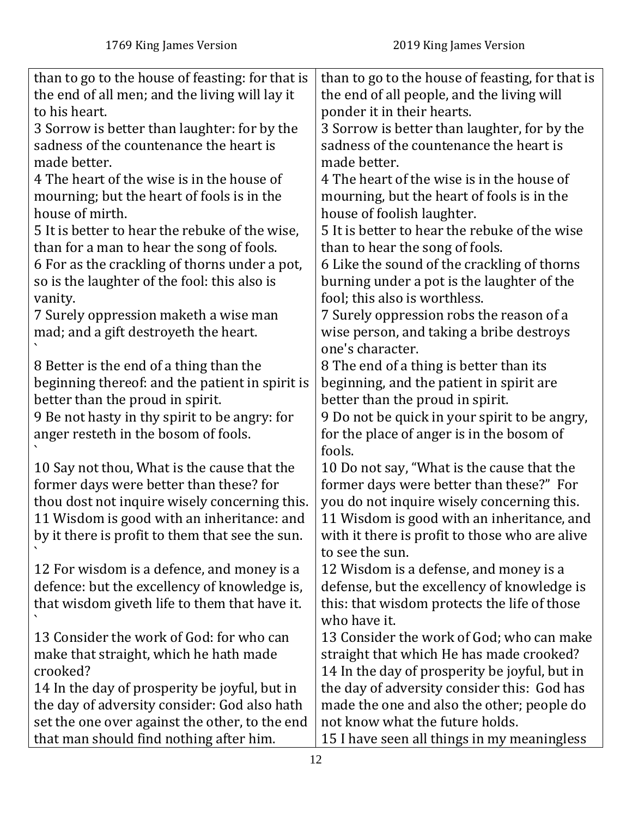| than to go to the house of feasting: for that is<br>the end of all men; and the living will lay it<br>to his heart. | than to go to the house of feasting, for that is<br>the end of all people, and the living will<br>ponder it in their hearts. |
|---------------------------------------------------------------------------------------------------------------------|------------------------------------------------------------------------------------------------------------------------------|
|                                                                                                                     |                                                                                                                              |
| 3 Sorrow is better than laughter: for by the                                                                        | 3 Sorrow is better than laughter, for by the                                                                                 |
| sadness of the countenance the heart is                                                                             | sadness of the countenance the heart is                                                                                      |
| made better.                                                                                                        | made better.                                                                                                                 |
| 4 The heart of the wise is in the house of                                                                          | 4 The heart of the wise is in the house of                                                                                   |
| mourning; but the heart of fools is in the                                                                          | mourning, but the heart of fools is in the                                                                                   |
| house of mirth.                                                                                                     | house of foolish laughter.                                                                                                   |
| 5 It is better to hear the rebuke of the wise,                                                                      | 5 It is better to hear the rebuke of the wise                                                                                |
| than for a man to hear the song of fools.                                                                           | than to hear the song of fools.                                                                                              |
| 6 For as the crackling of thorns under a pot,                                                                       | 6 Like the sound of the crackling of thorns                                                                                  |
| so is the laughter of the fool: this also is                                                                        | burning under a pot is the laughter of the                                                                                   |
| vanity.                                                                                                             | fool; this also is worthless.                                                                                                |
| 7 Surely oppression maketh a wise man                                                                               | 7 Surely oppression robs the reason of a                                                                                     |
| mad; and a gift destroyeth the heart.                                                                               | wise person, and taking a bribe destroys                                                                                     |
|                                                                                                                     | one's character.                                                                                                             |
| 8 Better is the end of a thing than the                                                                             | 8 The end of a thing is better than its                                                                                      |
| beginning thereof: and the patient in spirit is                                                                     | beginning, and the patient in spirit are                                                                                     |
| better than the proud in spirit.                                                                                    | better than the proud in spirit.                                                                                             |
| 9 Be not hasty in thy spirit to be angry: for                                                                       | 9 Do not be quick in your spirit to be angry,                                                                                |
| anger resteth in the bosom of fools.                                                                                | for the place of anger is in the bosom of                                                                                    |
|                                                                                                                     | fools.                                                                                                                       |
| 10 Say not thou, What is the cause that the                                                                         | 10 Do not say, "What is the cause that the                                                                                   |
| former days were better than these? for                                                                             | former days were better than these?" For                                                                                     |
| thou dost not inquire wisely concerning this.                                                                       | you do not inquire wisely concerning this.                                                                                   |
| 11 Wisdom is good with an inheritance: and                                                                          | 11 Wisdom is good with an inheritance, and                                                                                   |
| by it there is profit to them that see the sun.                                                                     | with it there is profit to those who are alive                                                                               |
|                                                                                                                     | to see the sun.                                                                                                              |
| 12 For wisdom is a defence, and money is a                                                                          | 12 Wisdom is a defense, and money is a                                                                                       |
| defence: but the excellency of knowledge is,                                                                        | defense, but the excellency of knowledge is                                                                                  |
| that wisdom giveth life to them that have it.                                                                       | this: that wisdom protects the life of those                                                                                 |
|                                                                                                                     | who have it.                                                                                                                 |
| 13 Consider the work of God: for who can                                                                            | 13 Consider the work of God; who can make                                                                                    |
| make that straight, which he hath made                                                                              | straight that which He has made crooked?                                                                                     |
| crooked?                                                                                                            | 14 In the day of prosperity be joyful, but in                                                                                |
| 14 In the day of prosperity be joyful, but in                                                                       | the day of adversity consider this: God has                                                                                  |
| the day of adversity consider: God also hath                                                                        | made the one and also the other; people do                                                                                   |
| set the one over against the other, to the end                                                                      | not know what the future holds.                                                                                              |
| that man should find nothing after him.                                                                             | 15 I have seen all things in my meaningless                                                                                  |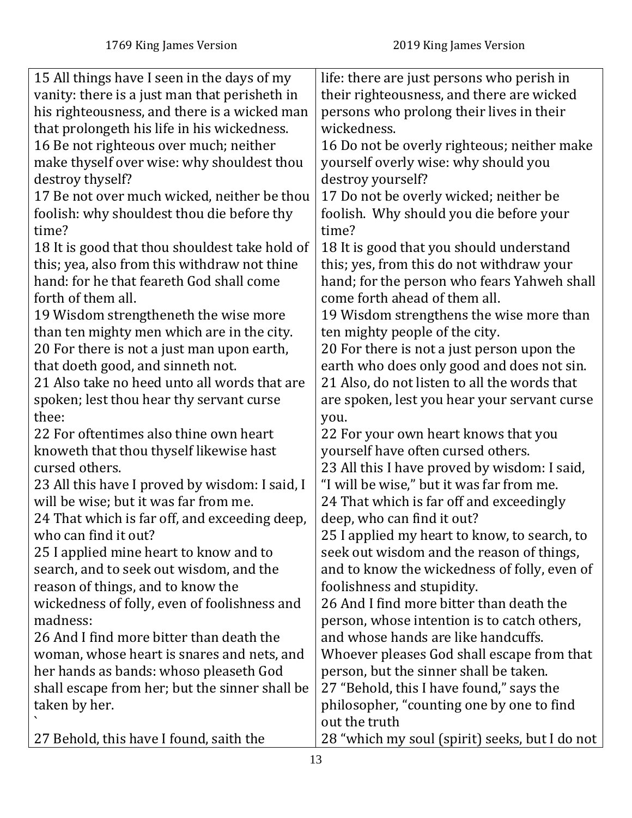| 15 All things have I seen in the days of my    | life: there are just persons who perish in     |
|------------------------------------------------|------------------------------------------------|
| vanity: there is a just man that perisheth in  | their righteousness, and there are wicked      |
| his righteousness, and there is a wicked man   | persons who prolong their lives in their       |
| that prolongeth his life in his wickedness.    | wickedness.                                    |
| 16 Be not righteous over much; neither         | 16 Do not be overly righteous; neither make    |
| make thyself over wise: why shouldest thou     | yourself overly wise: why should you           |
| destroy thyself?                               | destroy yourself?                              |
| 17 Be not over much wicked, neither be thou    | 17 Do not be overly wicked; neither be         |
| foolish: why shouldest thou die before thy     | foolish. Why should you die before your        |
| time?                                          | time?                                          |
| 18 It is good that thou shouldest take hold of | 18 It is good that you should understand       |
| this; yea, also from this withdraw not thine   | this; yes, from this do not withdraw your      |
| hand: for he that feareth God shall come       | hand; for the person who fears Yahweh shall    |
| forth of them all.                             | come forth ahead of them all.                  |
| 19 Wisdom strengtheneth the wise more          | 19 Wisdom strengthens the wise more than       |
| than ten mighty men which are in the city.     | ten mighty people of the city.                 |
| 20 For there is not a just man upon earth,     | 20 For there is not a just person upon the     |
| that doeth good, and sinneth not.              | earth who does only good and does not sin.     |
| 21 Also take no heed unto all words that are   | 21 Also, do not listen to all the words that   |
| spoken; lest thou hear thy servant curse       | are spoken, lest you hear your servant curse   |
| thee:                                          | you.                                           |
| 22 For oftentimes also thine own heart         | 22 For your own heart knows that you           |
| knoweth that thou thyself likewise hast        | yourself have often cursed others.             |
| cursed others.                                 | 23 All this I have proved by wisdom: I said,   |
| 23 All this have I proved by wisdom: I said, I | "I will be wise," but it was far from me.      |
| will be wise; but it was far from me.          | 24 That which is far off and exceedingly       |
| 24 That which is far off, and exceeding deep,  | deep, who can find it out?                     |
| who can find it out?                           | 25 I applied my heart to know, to search, to   |
| 25 I applied mine heart to know and to         | seek out wisdom and the reason of things,      |
| search, and to seek out wisdom, and the        | and to know the wickedness of folly, even of   |
| reason of things, and to know the              | foolishness and stupidity.                     |
| wickedness of folly, even of foolishness and   | 26 And I find more bitter than death the       |
| madness:                                       | person, whose intention is to catch others,    |
| 26 And I find more bitter than death the       | and whose hands are like handcuffs.            |
| woman, whose heart is snares and nets, and     | Whoever pleases God shall escape from that     |
| her hands as bands: whoso pleaseth God         | person, but the sinner shall be taken.         |
| shall escape from her; but the sinner shall be | 27 "Behold, this I have found," says the       |
| taken by her.                                  | philosopher, "counting one by one to find      |
|                                                | out the truth                                  |
| 27 Behold, this have I found, saith the        | 28 "which my soul (spirit) seeks, but I do not |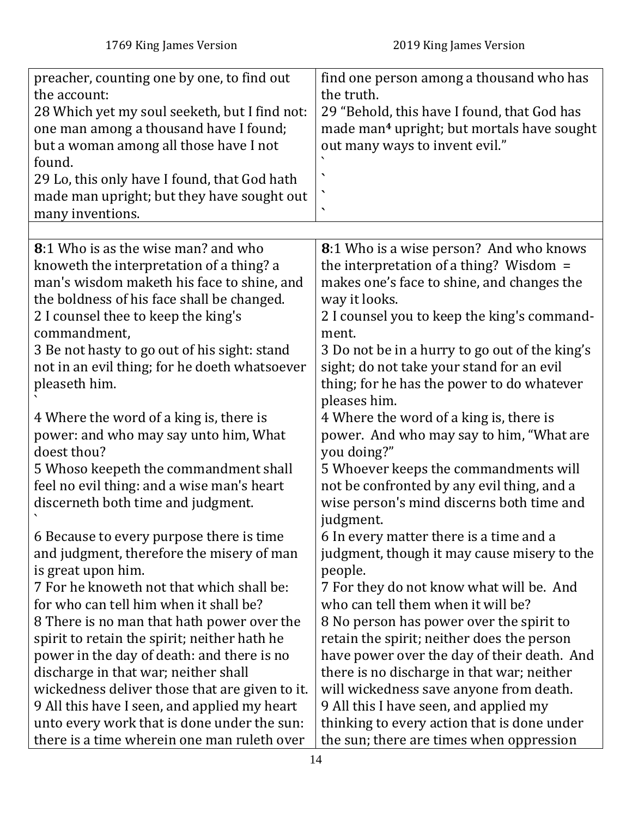<span id="page-13-0"></span>

| preacher, counting one by one, to find out<br>the account:<br>28 Which yet my soul seeketh, but I find not:<br>one man among a thousand have I found;<br>but a woman among all those have I not<br>found.<br>29 Lo, this only have I found, that God hath<br>made man upright; but they have sought out<br>many inventions.                                                                                                              | find one person among a thousand who has<br>the truth.<br>29 "Behold, this have I found, that God has<br>made man <sup>4</sup> upright; but mortals have sought<br>out many ways to invent evil."<br>$\checkmark$                                                                                                                                                                                                                  |
|------------------------------------------------------------------------------------------------------------------------------------------------------------------------------------------------------------------------------------------------------------------------------------------------------------------------------------------------------------------------------------------------------------------------------------------|------------------------------------------------------------------------------------------------------------------------------------------------------------------------------------------------------------------------------------------------------------------------------------------------------------------------------------------------------------------------------------------------------------------------------------|
|                                                                                                                                                                                                                                                                                                                                                                                                                                          |                                                                                                                                                                                                                                                                                                                                                                                                                                    |
| <b>8:1 Who is as the wise man? and who</b><br>knoweth the interpretation of a thing? a<br>man's wisdom maketh his face to shine, and<br>the boldness of his face shall be changed.<br>2 I counsel thee to keep the king's<br>commandment.<br>3 Be not hasty to go out of his sight: stand<br>not in an evil thing; for he doeth whatsoever<br>pleaseth him.                                                                              | <b>8</b> :1 Who is a wise person? And who knows<br>the interpretation of a thing? Wisdom $=$<br>makes one's face to shine, and changes the<br>way it looks.<br>2 I counsel you to keep the king's command-<br>ment.<br>3 Do not be in a hurry to go out of the king's<br>sight; do not take your stand for an evil<br>thing; for he has the power to do whatever<br>pleases him.                                                   |
| 4 Where the word of a king is, there is<br>power: and who may say unto him, What<br>doest thou?<br>5 Whoso keepeth the commandment shall<br>feel no evil thing: and a wise man's heart<br>discerneth both time and judgment.                                                                                                                                                                                                             | 4 Where the word of a king is, there is<br>power. And who may say to him, "What are<br>you doing?"<br>5 Whoever keeps the commandments will<br>not be confronted by any evil thing, and a<br>wise person's mind discerns both time and                                                                                                                                                                                             |
| 6 Because to every purpose there is time<br>and judgment, therefore the misery of man<br>is great upon him.<br>7 For he knoweth not that which shall be:<br>for who can tell him when it shall be?<br>8 There is no man that hath power over the<br>spirit to retain the spirit; neither hath he<br>power in the day of death: and there is no<br>discharge in that war; neither shall<br>wickedness deliver those that are given to it. | judgment.<br>6 In every matter there is a time and a<br>judgment, though it may cause misery to the<br>people.<br>7 For they do not know what will be. And<br>who can tell them when it will be?<br>8 No person has power over the spirit to<br>retain the spirit; neither does the person<br>have power over the day of their death. And<br>there is no discharge in that war; neither<br>will wickedness save anyone from death. |
| 9 All this have I seen, and applied my heart<br>unto every work that is done under the sun:<br>there is a time wherein one man ruleth over                                                                                                                                                                                                                                                                                               | 9 All this I have seen, and applied my<br>thinking to every action that is done under<br>the sun; there are times when oppression                                                                                                                                                                                                                                                                                                  |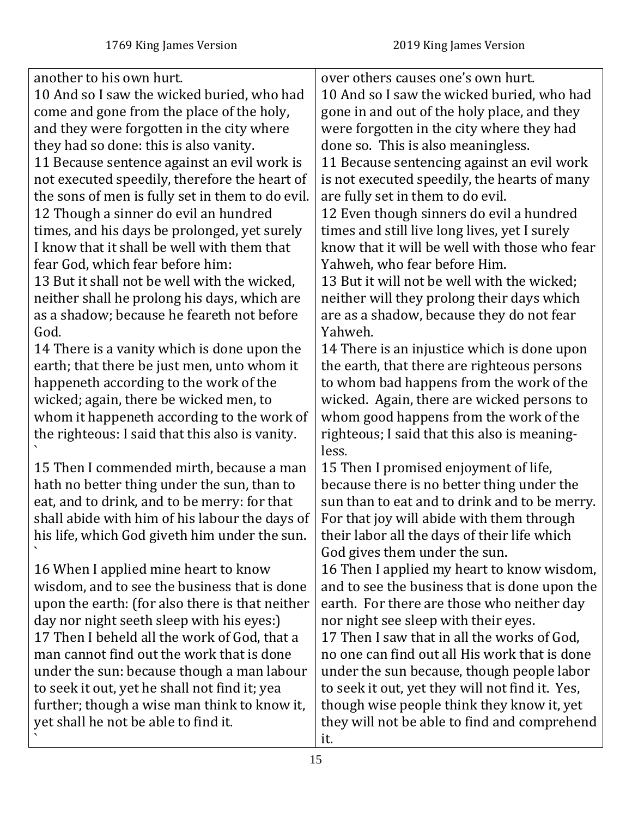another to his own hurt. 10 And so I saw the wicked buried, who had come and gone from the place of the holy, and they were forgotten in the city where they had so done: this is also vanity. 11 Because sentence against an evil work is not executed speedily, therefore the heart of the sons of men is fully set in them to do evil. 12 Though a sinner do evil an hundred times, and his days be prolonged, yet surely I know that it shall be well with them that fear God, which fear before him: 13 But it shall not be well with the wicked, neither shall he prolong his days, which are as a shadow; because he feareth not before God. 14 There is a vanity which is done upon the earth; that there be just men, unto whom it happeneth according to the work of the wicked; again, there be wicked men, to whom it happeneth according to the work of the righteous: I said that this also is vanity. ` 15 Then I commended mirth, because a man hath no better thing under the sun, than to eat, and to drink, and to be merry: for that shall abide with him of his labour the days of his life, which God giveth him under the sun. ` 16 When I applied mine heart to know wisdom, and to see the business that is done upon the earth: (for also there is that neither day nor night seeth sleep with his eyes:) 17 Then I beheld all the work of God, that a man cannot find out the work that is done under the sun: because though a man labour to seek it out, yet he shall not find it; yea further; though a wise man think to know it, yet shall he not be able to find it. ` over others causes one's own hurt. 10 And so I saw the wicked buried, who had gone in and out of the holy place, and they were forgotten in the city where they had done so. This is also meaningless. 11 Because sentencing against an evil work is not executed speedily, the hearts of many are fully set in them to do evil. 12 Even though sinners do evil a hundred times and still live long lives, yet I surely know that it will be well with those who fear Yahweh, who fear before Him. 13 But it will not be well with the wicked; neither will they prolong their days which are as a shadow, because they do not fear Yahweh. 14 There is an injustice which is done upon the earth, that there are righteous persons to whom bad happens from the work of the wicked. Again, there are wicked persons to whom good happens from the work of the righteous; I said that this also is meaningless. 15 Then I promised enjoyment of life, because there is no better thing under the sun than to eat and to drink and to be merry. For that joy will abide with them through their labor all the days of their life which God gives them under the sun. 16 Then I applied my heart to know wisdom, and to see the business that is done upon the earth. For there are those who neither day nor night see sleep with their eyes. 17 Then I saw that in all the works of God, no one can find out all His work that is done under the sun because, though people labor to seek it out, yet they will not find it. Yes, though wise people think they know it, yet they will not be able to find and comprehend it.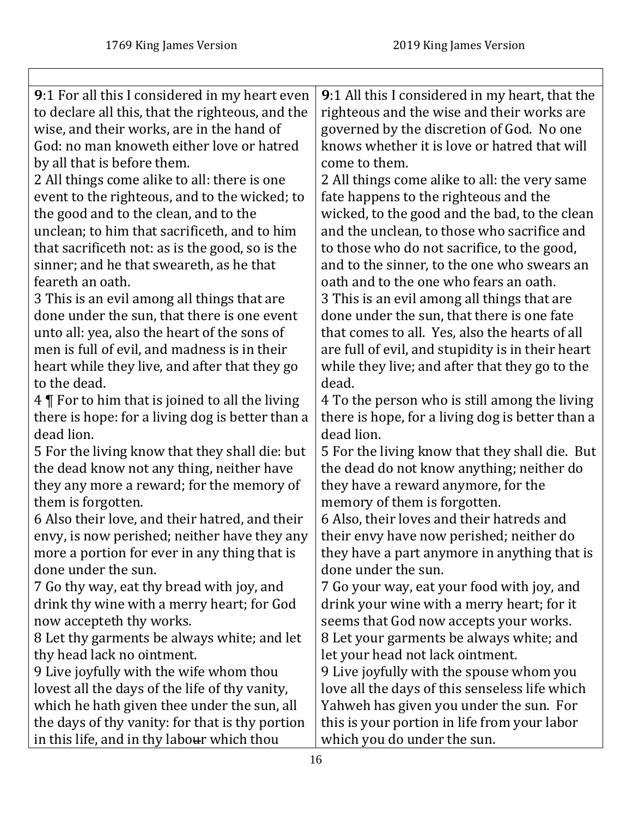<span id="page-15-0"></span>

| 9:1 For all this I considered in my heart even   | 9:1 All this I considered in my heart, that the   |
|--------------------------------------------------|---------------------------------------------------|
| to declare all this, that the righteous, and the | righteous and the wise and their works are        |
| wise, and their works, are in the hand of        | governed by the discretion of God. No one         |
| God: no man knoweth either love or hatred        | knows whether it is love or hatred that will      |
| by all that is before them.                      | come to them.                                     |
| 2 All things come alike to all: there is one     | 2 All things come alike to all: the very same     |
| event to the righteous, and to the wicked; to    | fate happens to the righteous and the             |
| the good and to the clean, and to the            | wicked, to the good and the bad, to the clean     |
| unclean; to him that sacrificeth, and to him     | and the unclean, to those who sacrifice and       |
| that sacrificeth not: as is the good, so is the  | to those who do not sacrifice, to the good,       |
| sinner; and he that sweareth, as he that         | and to the sinner, to the one who swears an       |
| feareth an oath.                                 | oath and to the one who fears an oath.            |
| 3 This is an evil among all things that are      | 3 This is an evil among all things that are       |
| done under the sun, that there is one event      | done under the sun, that there is one fate        |
| unto all: yea, also the heart of the sons of     | that comes to all. Yes, also the hearts of all    |
| men is full of evil, and madness is in their     | are full of evil, and stupidity is in their heart |
| heart while they live, and after that they go    | while they live; and after that they go to the    |
| to the dead.                                     | dead.                                             |
| 4   For to him that is joined to all the living  | 4 To the person who is still among the living     |
| there is hope: for a living dog is better than a | there is hope, for a living dog is better than a  |
| dead lion.                                       | dead lion.                                        |
| 5 For the living know that they shall die: but   | 5 For the living know that they shall die. But    |
| the dead know not any thing, neither have        | the dead do not know anything; neither do         |
| they any more a reward; for the memory of        | they have a reward anymore, for the               |
| them is forgotten.                               | memory of them is forgotten.                      |
| 6 Also their love, and their hatred, and their   | 6 Also, their loves and their hatreds and         |
| envy, is now perished; neither have they any     | their envy have now perished; neither do          |
| more a portion for ever in any thing that is     | they have a part anymore in anything that is      |
| done under the sun.                              | done under the sun.                               |
| 7 Go thy way, eat thy bread with joy, and        | 7 Go your way, eat your food with joy, and        |
| drink thy wine with a merry heart; for God       | drink your wine with a merry heart; for it        |
| now accepteth thy works.                         | seems that God now accepts your works.            |
| 8 Let thy garments be always white; and let      | 8 Let your garments be always white; and          |
| thy head lack no ointment.                       | let your head not lack ointment.                  |
| 9 Live joyfully with the wife whom thou          | 9 Live joyfully with the spouse whom you          |
| lovest all the days of the life of thy vanity,   | love all the days of this senseless life which    |
| which he hath given thee under the sun, all      | Yahweh has given you under the sun. For           |
| the days of thy vanity: for that is thy portion  | this is your portion in life from your labor      |
| in this life, and in thy labour which thou       | which you do under the sun.                       |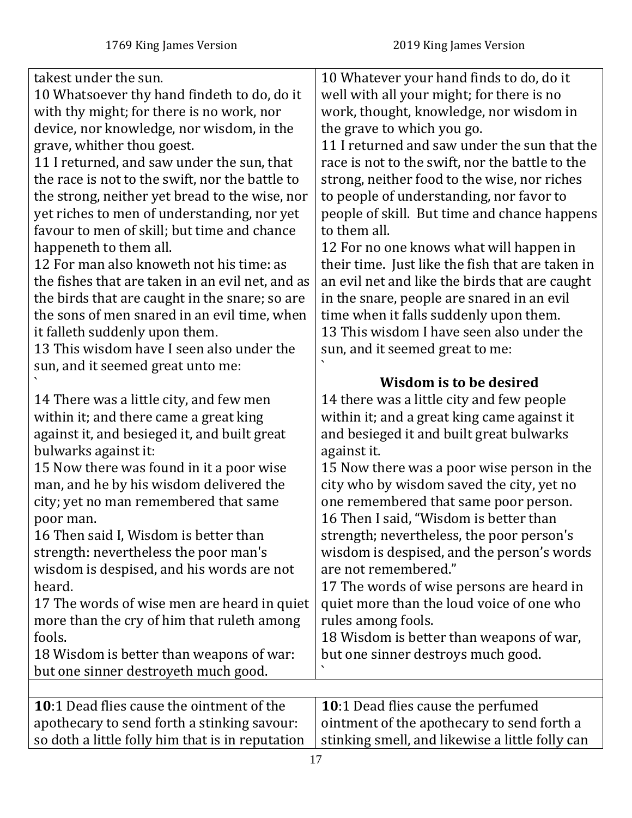<span id="page-16-0"></span>

| takest under the sun.<br>10 Whatsoever thy hand findeth to do, do it<br>with thy might; for there is no work, nor<br>device, nor knowledge, nor wisdom, in the<br>grave, whither thou goest.<br>11 I returned, and saw under the sun, that<br>the race is not to the swift, nor the battle to<br>the strong, neither yet bread to the wise, nor<br>yet riches to men of understanding, nor yet<br>favour to men of skill; but time and chance<br>happeneth to them all.<br>12 For man also knoweth not his time: as<br>the fishes that are taken in an evil net, and as<br>the birds that are caught in the snare; so are<br>the sons of men snared in an evil time, when<br>it falleth suddenly upon them.<br>13 This wisdom have I seen also under the<br>sun, and it seemed great unto me:<br>14 There was a little city, and few men<br>within it; and there came a great king<br>against it, and besieged it, and built great<br>bulwarks against it:<br>15 Now there was found in it a poor wise<br>man, and he by his wisdom delivered the<br>city; yet no man remembered that same<br>poor man.<br>16 Then said I, Wisdom is better than<br>strength: nevertheless the poor man's<br>wisdom is despised, and his words are not<br>heard.<br>17 The words of wise men are heard in quiet<br>more than the cry of him that ruleth among<br>fools.<br>18 Wisdom is better than weapons of war:<br>but one sinner destroyeth much good. | 10 Whatever your hand finds to do, do it<br>well with all your might; for there is no<br>work, thought, knowledge, nor wisdom in<br>the grave to which you go.<br>11 I returned and saw under the sun that the<br>race is not to the swift, nor the battle to the<br>strong, neither food to the wise, nor riches<br>to people of understanding, nor favor to<br>people of skill. But time and chance happens<br>to them all.<br>12 For no one knows what will happen in<br>their time. Just like the fish that are taken in<br>an evil net and like the birds that are caught<br>in the snare, people are snared in an evil<br>time when it falls suddenly upon them.<br>13 This wisdom I have seen also under the<br>sun, and it seemed great to me:<br>Wisdom is to be desired<br>14 there was a little city and few people<br>within it; and a great king came against it<br>and besieged it and built great bulwarks<br>against it.<br>15 Now there was a poor wise person in the<br>city who by wisdom saved the city, yet no<br>one remembered that same poor person.<br>16 Then I said, "Wisdom is better than<br>strength; nevertheless, the poor person's<br>wisdom is despised, and the person's words<br>are not remembered."<br>17 The words of wise persons are heard in<br>quiet more than the loud voice of one who<br>rules among fools.<br>18 Wisdom is better than weapons of war,<br>but one sinner destroys much good. |
|---------------------------------------------------------------------------------------------------------------------------------------------------------------------------------------------------------------------------------------------------------------------------------------------------------------------------------------------------------------------------------------------------------------------------------------------------------------------------------------------------------------------------------------------------------------------------------------------------------------------------------------------------------------------------------------------------------------------------------------------------------------------------------------------------------------------------------------------------------------------------------------------------------------------------------------------------------------------------------------------------------------------------------------------------------------------------------------------------------------------------------------------------------------------------------------------------------------------------------------------------------------------------------------------------------------------------------------------------------------------------------------------------------------------------------------------|---------------------------------------------------------------------------------------------------------------------------------------------------------------------------------------------------------------------------------------------------------------------------------------------------------------------------------------------------------------------------------------------------------------------------------------------------------------------------------------------------------------------------------------------------------------------------------------------------------------------------------------------------------------------------------------------------------------------------------------------------------------------------------------------------------------------------------------------------------------------------------------------------------------------------------------------------------------------------------------------------------------------------------------------------------------------------------------------------------------------------------------------------------------------------------------------------------------------------------------------------------------------------------------------------------------------------------------------------------------------------------------------------------------------------------------------|
|                                                                                                                                                                                                                                                                                                                                                                                                                                                                                                                                                                                                                                                                                                                                                                                                                                                                                                                                                                                                                                                                                                                                                                                                                                                                                                                                                                                                                                             |                                                                                                                                                                                                                                                                                                                                                                                                                                                                                                                                                                                                                                                                                                                                                                                                                                                                                                                                                                                                                                                                                                                                                                                                                                                                                                                                                                                                                                             |
| <b>10:1 Dead flies cause the ointment of the</b><br>apothecary to send forth a stinking savour:<br>so doth a little folly him that is in reputation                                                                                                                                                                                                                                                                                                                                                                                                                                                                                                                                                                                                                                                                                                                                                                                                                                                                                                                                                                                                                                                                                                                                                                                                                                                                                         | 10:1 Dead flies cause the perfumed<br>ointment of the apothecary to send forth a<br>stinking smell, and likewise a little folly can                                                                                                                                                                                                                                                                                                                                                                                                                                                                                                                                                                                                                                                                                                                                                                                                                                                                                                                                                                                                                                                                                                                                                                                                                                                                                                         |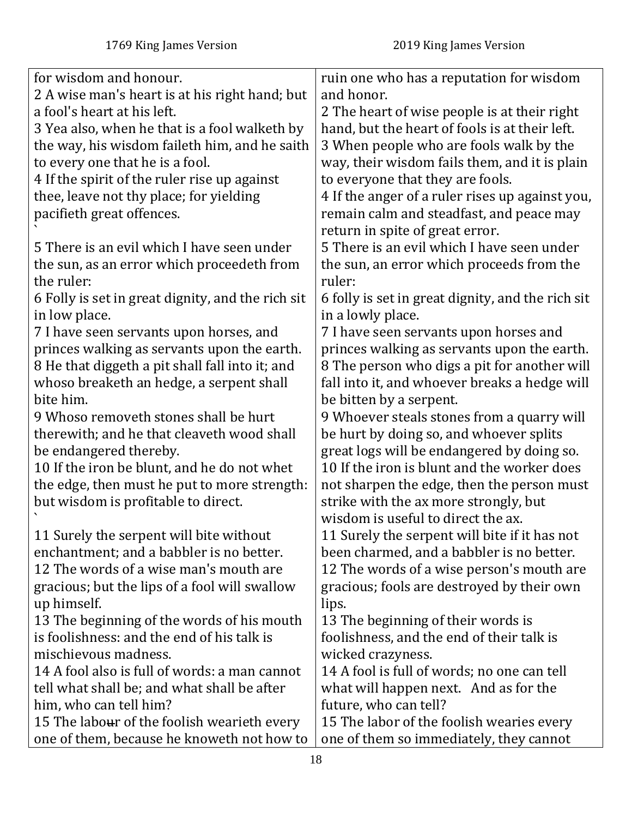| for wisdom and honour.                            | ruin one who has a reputation for wisdom          |
|---------------------------------------------------|---------------------------------------------------|
| 2 A wise man's heart is at his right hand; but    | and honor.                                        |
| a fool's heart at his left.                       | 2 The heart of wise people is at their right      |
| 3 Yea also, when he that is a fool walketh by     | hand, but the heart of fools is at their left.    |
| the way, his wisdom faileth him, and he saith     | 3 When people who are fools walk by the           |
| to every one that he is a fool.                   | way, their wisdom fails them, and it is plain     |
| 4 If the spirit of the ruler rise up against      | to everyone that they are fools.                  |
| thee, leave not thy place; for yielding           | 4 If the anger of a ruler rises up against you,   |
| pacifieth great offences.                         | remain calm and steadfast, and peace may          |
|                                                   | return in spite of great error.                   |
| 5 There is an evil which I have seen under        | 5 There is an evil which I have seen under        |
| the sun, as an error which proceedeth from        | the sun, an error which proceeds from the         |
| the ruler:                                        | ruler:                                            |
| 6 Folly is set in great dignity, and the rich sit | 6 folly is set in great dignity, and the rich sit |
| in low place.                                     | in a lowly place.                                 |
| 7 I have seen servants upon horses, and           | 7 I have seen servants upon horses and            |
| princes walking as servants upon the earth.       | princes walking as servants upon the earth.       |
| 8 He that diggeth a pit shall fall into it; and   | 8 The person who digs a pit for another will      |
| whoso breaketh an hedge, a serpent shall          | fall into it, and whoever breaks a hedge will     |
| bite him.                                         | be bitten by a serpent.                           |
| 9 Whoso removeth stones shall be hurt             | 9 Whoever steals stones from a quarry will        |
| therewith; and he that cleaveth wood shall        | be hurt by doing so, and whoever splits           |
| be endangered thereby.                            | great logs will be endangered by doing so.        |
| 10 If the iron be blunt, and he do not whet       | 10 If the iron is blunt and the worker does       |
| the edge, then must he put to more strength:      | not sharpen the edge, then the person must        |
| but wisdom is profitable to direct.               | strike with the ax more strongly, but             |
|                                                   | wisdom is useful to direct the ax.                |
| 11 Surely the serpent will bite without           | 11 Surely the serpent will bite if it has not     |
| enchantment; and a babbler is no better.          | been charmed, and a babbler is no better.         |
| 12 The words of a wise man's mouth are            | 12 The words of a wise person's mouth are         |
| gracious; but the lips of a fool will swallow     | gracious; fools are destroyed by their own        |
| up himself.                                       | lips.                                             |
| 13 The beginning of the words of his mouth        | 13 The beginning of their words is                |
| is foolishness: and the end of his talk is        | foolishness, and the end of their talk is         |
| mischievous madness.                              | wicked crazyness.                                 |
| 14 A fool also is full of words: a man cannot     | 14 A fool is full of words; no one can tell       |
| tell what shall be; and what shall be after       | what will happen next. And as for the             |
| him, who can tell him?                            | future, who can tell?                             |
| 15 The labour of the foolish wearieth every       | 15 The labor of the foolish wearies every         |
| one of them, because he knoweth not how to        | one of them so immediately, they cannot           |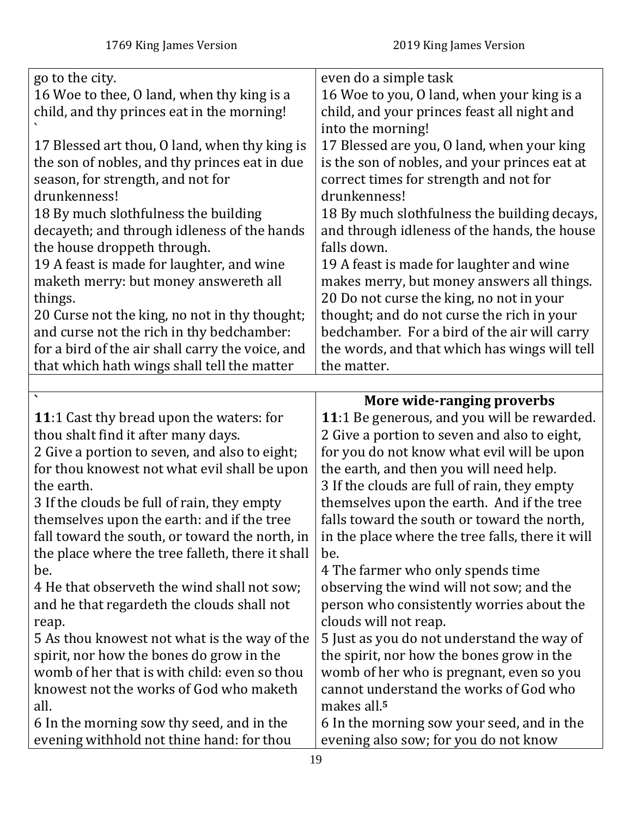<span id="page-18-0"></span>

| go to the city.                                                                        | even do a simple task                                                               |
|----------------------------------------------------------------------------------------|-------------------------------------------------------------------------------------|
| 16 Woe to thee, O land, when thy king is a                                             | 16 Woe to you, O land, when your king is a                                          |
| child, and thy princes eat in the morning!                                             | child, and your princes feast all night and<br>into the morning!                    |
| 17 Blessed art thou, O land, when thy king is                                          | 17 Blessed are you, O land, when your king                                          |
| the son of nobles, and thy princes eat in due                                          | is the son of nobles, and your princes eat at                                       |
| season, for strength, and not for                                                      | correct times for strength and not for                                              |
| drunkenness!                                                                           | drunkenness!                                                                        |
| 18 By much slothfulness the building                                                   | 18 By much slothfulness the building decays,                                        |
| decayeth; and through idleness of the hands                                            | and through idleness of the hands, the house                                        |
| the house droppeth through.                                                            | falls down.                                                                         |
| 19 A feast is made for laughter, and wine                                              | 19 A feast is made for laughter and wine                                            |
| maketh merry: but money answereth all                                                  | makes merry, but money answers all things.                                          |
| things.                                                                                | 20 Do not curse the king, no not in your                                            |
| 20 Curse not the king, no not in thy thought;                                          | thought; and do not curse the rich in your                                          |
| and curse not the rich in thy bedchamber:                                              | bedchamber. For a bird of the air will carry                                        |
| for a bird of the air shall carry the voice, and                                       | the words, and that which has wings will tell                                       |
| that which hath wings shall tell the matter                                            | the matter.                                                                         |
|                                                                                        |                                                                                     |
|                                                                                        | More wide-ranging proverbs<br>11:1 Be generous, and you will be rewarded.           |
| <b>11:1 Cast thy bread upon the waters: for</b><br>thou shalt find it after many days. | 2 Give a portion to seven and also to eight,                                        |
| 2 Give a portion to seven, and also to eight;                                          | for you do not know what evil will be upon                                          |
| for thou knowest not what evil shall be upon                                           | the earth, and then you will need help.                                             |
| the earth.                                                                             | 3 If the clouds are full of rain, they empty                                        |
| 3 If the clouds be full of rain, they empty                                            | themselves upon the earth. And if the tree                                          |
| themselves upon the earth: and if the tree                                             | falls toward the south or toward the north,                                         |
| fall toward the south, or toward the north, in                                         | in the place where the tree falls, there it will                                    |
| the place where the tree falleth, there it shall                                       | be.                                                                                 |
| be.                                                                                    | 4 The farmer who only spends time                                                   |
| 4 He that observeth the wind shall not sow;                                            | observing the wind will not sow; and the                                            |
| and he that regardeth the clouds shall not                                             | person who consistently worries about the                                           |
| reap.                                                                                  | clouds will not reap.                                                               |
| 5 As thou knowest not what is the way of the                                           | 5 Just as you do not understand the way of                                          |
| spirit, nor how the bones do grow in the                                               | the spirit, nor how the bones grow in the                                           |
|                                                                                        |                                                                                     |
| womb of her that is with child: even so thou                                           | womb of her who is pregnant, even so you                                            |
| knowest not the works of God who maketh                                                | cannot understand the works of God who                                              |
| all.                                                                                   | makes all. <sup>5</sup>                                                             |
| 6 In the morning sow thy seed, and in the<br>evening withhold not thine hand: for thou | 6 In the morning sow your seed, and in the<br>evening also sow; for you do not know |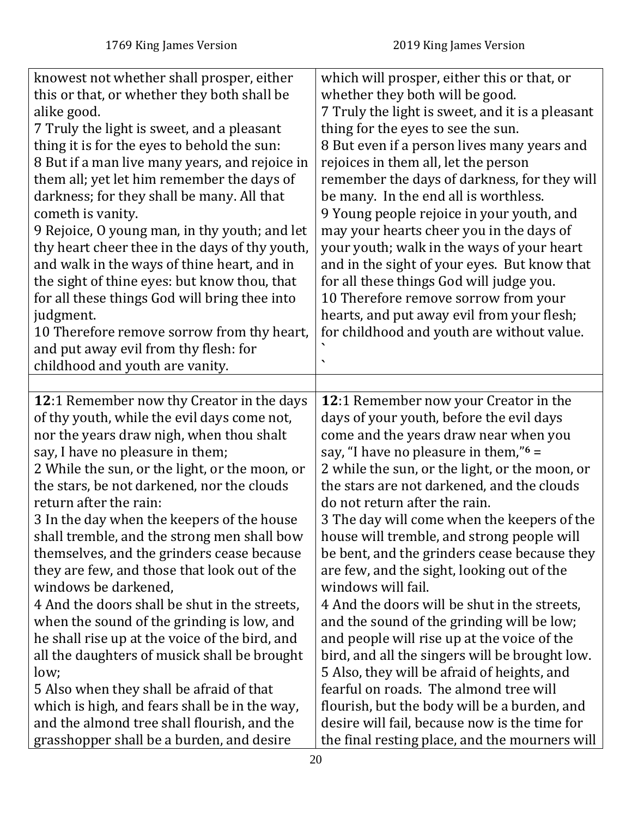<span id="page-19-0"></span>

| knowest not whether shall prosper, either<br>this or that, or whether they both shall be<br>alike good.<br>7 Truly the light is sweet, and a pleasant<br>thing it is for the eyes to behold the sun:<br>8 But if a man live many years, and rejoice in<br>them all; yet let him remember the days of<br>darkness; for they shall be many. All that<br>cometh is vanity.<br>9 Rejoice, O young man, in thy youth; and let<br>thy heart cheer thee in the days of thy youth,<br>and walk in the ways of thine heart, and in<br>the sight of thine eyes: but know thou, that<br>for all these things God will bring thee into<br>judgment.<br>10 Therefore remove sorrow from thy heart,<br>and put away evil from thy flesh: for<br>childhood and youth are vanity.              | which will prosper, either this or that, or<br>whether they both will be good.<br>7 Truly the light is sweet, and it is a pleasant<br>thing for the eyes to see the sun.<br>8 But even if a person lives many years and<br>rejoices in them all, let the person<br>remember the days of darkness, for they will<br>be many. In the end all is worthless.<br>9 Young people rejoice in your youth, and<br>may your hearts cheer you in the days of<br>your youth; walk in the ways of your heart<br>and in the sight of your eyes. But know that<br>for all these things God will judge you.<br>10 Therefore remove sorrow from your<br>hearts, and put away evil from your flesh;<br>for childhood and youth are without value.                                                                                         |
|--------------------------------------------------------------------------------------------------------------------------------------------------------------------------------------------------------------------------------------------------------------------------------------------------------------------------------------------------------------------------------------------------------------------------------------------------------------------------------------------------------------------------------------------------------------------------------------------------------------------------------------------------------------------------------------------------------------------------------------------------------------------------------|-------------------------------------------------------------------------------------------------------------------------------------------------------------------------------------------------------------------------------------------------------------------------------------------------------------------------------------------------------------------------------------------------------------------------------------------------------------------------------------------------------------------------------------------------------------------------------------------------------------------------------------------------------------------------------------------------------------------------------------------------------------------------------------------------------------------------|
| 12:1 Remember now thy Creator in the days                                                                                                                                                                                                                                                                                                                                                                                                                                                                                                                                                                                                                                                                                                                                      | 12:1 Remember now your Creator in the                                                                                                                                                                                                                                                                                                                                                                                                                                                                                                                                                                                                                                                                                                                                                                                   |
| of thy youth, while the evil days come not,<br>nor the years draw nigh, when thou shalt<br>say, I have no pleasure in them;<br>2 While the sun, or the light, or the moon, or<br>the stars, be not darkened, nor the clouds<br>return after the rain:<br>3 In the day when the keepers of the house<br>shall tremble, and the strong men shall bow<br>themselves, and the grinders cease because<br>they are few, and those that look out of the<br>windows be darkened,<br>4 And the doors shall be shut in the streets,<br>when the sound of the grinding is low, and<br>he shall rise up at the voice of the bird, and<br>all the daughters of musick shall be brought<br>low;<br>5 Also when they shall be afraid of that<br>which is high, and fears shall be in the way, | days of your youth, before the evil days<br>come and the years draw near when you<br>say, "I have no pleasure in them," $6 =$<br>2 while the sun, or the light, or the moon, or<br>the stars are not darkened, and the clouds<br>do not return after the rain.<br>3 The day will come when the keepers of the<br>house will tremble, and strong people will<br>be bent, and the grinders cease because they<br>are few, and the sight, looking out of the<br>windows will fail.<br>4 And the doors will be shut in the streets,<br>and the sound of the grinding will be low;<br>and people will rise up at the voice of the<br>bird, and all the singers will be brought low.<br>5 Also, they will be afraid of heights, and<br>fearful on roads. The almond tree will<br>flourish, but the body will be a burden, and |
| and the almond tree shall flourish, and the<br>grasshopper shall be a burden, and desire                                                                                                                                                                                                                                                                                                                                                                                                                                                                                                                                                                                                                                                                                       | desire will fail, because now is the time for<br>the final resting place, and the mourners will                                                                                                                                                                                                                                                                                                                                                                                                                                                                                                                                                                                                                                                                                                                         |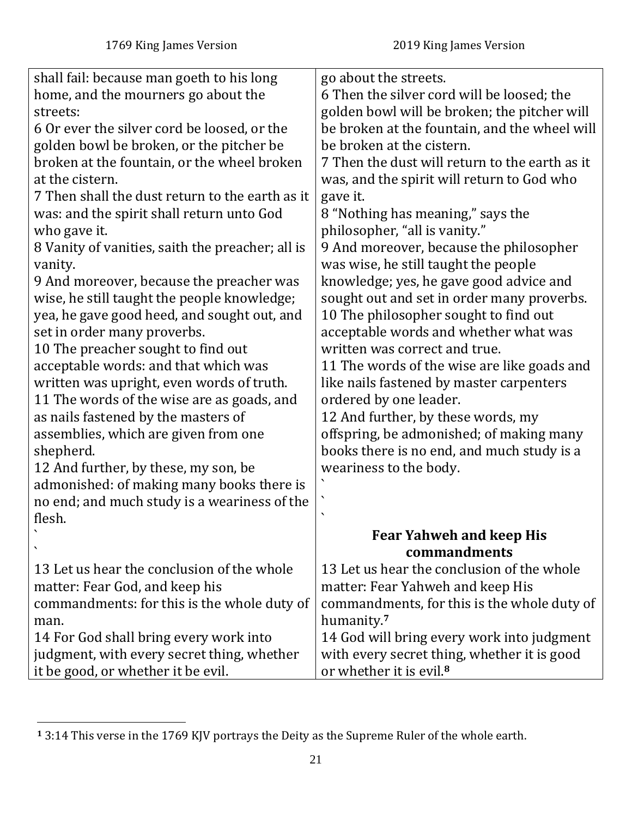| shall fail: because man goeth to his long        | go about the streets.                          |
|--------------------------------------------------|------------------------------------------------|
| home, and the mourners go about the              | 6 Then the silver cord will be loosed; the     |
| streets:                                         | golden bowl will be broken; the pitcher will   |
| 6 Or ever the silver cord be loosed, or the      | be broken at the fountain, and the wheel will  |
| golden bowl be broken, or the pitcher be         | be broken at the cistern.                      |
| broken at the fountain, or the wheel broken      | 7 Then the dust will return to the earth as it |
| at the cistern.                                  | was, and the spirit will return to God who     |
| 7 Then shall the dust return to the earth as it  | gave it.                                       |
| was: and the spirit shall return unto God        | 8 "Nothing has meaning," says the              |
| who gave it.                                     | philosopher, "all is vanity."                  |
| 8 Vanity of vanities, saith the preacher; all is | 9 And moreover, because the philosopher        |
| vanity.                                          | was wise, he still taught the people           |
| 9 And moreover, because the preacher was         | knowledge; yes, he gave good advice and        |
| wise, he still taught the people knowledge;      | sought out and set in order many proverbs.     |
| yea, he gave good heed, and sought out, and      | 10 The philosopher sought to find out          |
| set in order many proverbs.                      | acceptable words and whether what was          |
| 10 The preacher sought to find out               | written was correct and true.                  |
| acceptable words: and that which was             | 11 The words of the wise are like goads and    |
| written was upright, even words of truth.        | like nails fastened by master carpenters       |
| 11 The words of the wise are as goads, and       | ordered by one leader.                         |
| as nails fastened by the masters of              | 12 And further, by these words, my             |
| assemblies, which are given from one             | offspring, be admonished; of making many       |
| shepherd.                                        | books there is no end, and much study is a     |
| 12 And further, by these, my son, be             | weariness to the body.                         |
| admonished: of making many books there is        |                                                |
| no end; and much study is a weariness of the     | ↖                                              |
| flesh.                                           | $\checkmark$                                   |
|                                                  | <b>Fear Yahweh and keep His</b>                |
|                                                  | commandments                                   |
| 13 Let us hear the conclusion of the whole       | 13 Let us hear the conclusion of the whole     |
| matter: Fear God, and keep his                   | matter: Fear Yahweh and keep His               |
| commandments: for this is the whole duty of      | commandments, for this is the whole duty of    |
| man.                                             | humanity. <sup>7</sup>                         |
| 14 For God shall bring every work into           | 14 God will bring every work into judgment     |
| judgment, with every secret thing, whether       | with every secret thing, whether it is good    |
| it be good, or whether it be evil.               | or whether it is evil. <sup>8</sup>            |

**<sup>1</sup>** 3:14 This verse in the 1769 KJV portrays the Deity as the Supreme Ruler of the whole earth.